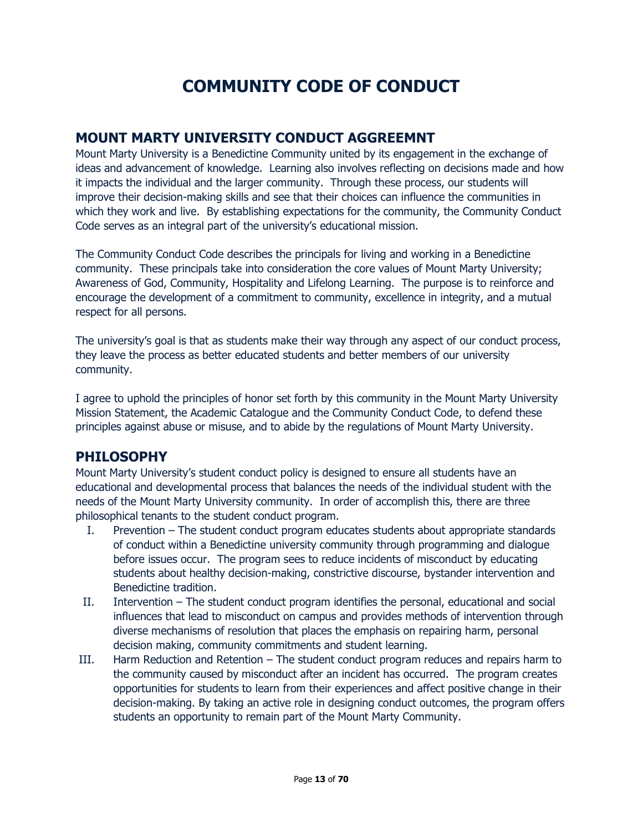# **COMMUNITY CODE OF CONDUCT**

# **MOUNT MARTY UNIVERSITY CONDUCT AGGREEMNT**

Mount Marty University is a Benedictine Community united by its engagement in the exchange of ideas and advancement of knowledge. Learning also involves reflecting on decisions made and how it impacts the individual and the larger community. Through these process, our students will improve their decision-making skills and see that their choices can influence the communities in which they work and live. By establishing expectations for the community, the Community Conduct Code serves as an integral part of the university's educational mission.

The Community Conduct Code describes the principals for living and working in a Benedictine community. These principals take into consideration the core values of Mount Marty University; Awareness of God, Community, Hospitality and Lifelong Learning. The purpose is to reinforce and encourage the development of a commitment to community, excellence in integrity, and a mutual respect for all persons.

The university's goal is that as students make their way through any aspect of our conduct process, they leave the process as better educated students and better members of our university community.

I agree to uphold the principles of honor set forth by this community in the Mount Marty University Mission Statement, the Academic Catalogue and the Community Conduct Code, to defend these principles against abuse or misuse, and to abide by the regulations of Mount Marty University.

# **PHILOSOPHY**

Mount Marty University's student conduct policy is designed to ensure all students have an educational and developmental process that balances the needs of the individual student with the needs of the Mount Marty University community. In order of accomplish this, there are three philosophical tenants to the student conduct program.

- I. Prevention The student conduct program educates students about appropriate standards of conduct within a Benedictine university community through programming and dialogue before issues occur. The program sees to reduce incidents of misconduct by educating students about healthy decision-making, constrictive discourse, bystander intervention and Benedictine tradition.
- II. Intervention The student conduct program identifies the personal, educational and social influences that lead to misconduct on campus and provides methods of intervention through diverse mechanisms of resolution that places the emphasis on repairing harm, personal decision making, community commitments and student learning.
- III. Harm Reduction and Retention The student conduct program reduces and repairs harm to the community caused by misconduct after an incident has occurred. The program creates opportunities for students to learn from their experiences and affect positive change in their decision-making. By taking an active role in designing conduct outcomes, the program offers students an opportunity to remain part of the Mount Marty Community.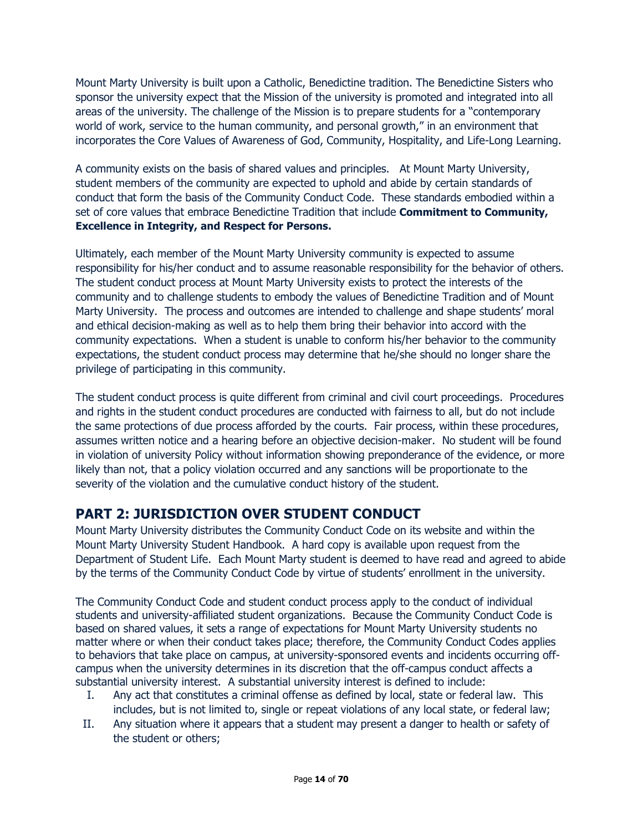Mount Marty University is built upon a Catholic, Benedictine tradition. The Benedictine Sisters who sponsor the university expect that the Mission of the university is promoted and integrated into all areas of the university. The challenge of the Mission is to prepare students for a "contemporary world of work, service to the human community, and personal growth," in an environment that incorporates the Core Values of Awareness of God, Community, Hospitality, and Life-Long Learning.

A community exists on the basis of shared values and principles. At Mount Marty University, student members of the community are expected to uphold and abide by certain standards of conduct that form the basis of the Community Conduct Code. These standards embodied within a set of core values that embrace Benedictine Tradition that include **Commitment to Community, Excellence in Integrity, and Respect for Persons.**

Ultimately, each member of the Mount Marty University community is expected to assume responsibility for his/her conduct and to assume reasonable responsibility for the behavior of others. The student conduct process at Mount Marty University exists to protect the interests of the community and to challenge students to embody the values of Benedictine Tradition and of Mount Marty University. The process and outcomes are intended to challenge and shape students' moral and ethical decision-making as well as to help them bring their behavior into accord with the community expectations. When a student is unable to conform his/her behavior to the community expectations, the student conduct process may determine that he/she should no longer share the privilege of participating in this community.

The student conduct process is quite different from criminal and civil court proceedings. Procedures and rights in the student conduct procedures are conducted with fairness to all, but do not include the same protections of due process afforded by the courts. Fair process, within these procedures, assumes written notice and a hearing before an objective decision-maker. No student will be found in violation of university Policy without information showing preponderance of the evidence, or more likely than not, that a policy violation occurred and any sanctions will be proportionate to the severity of the violation and the cumulative conduct history of the student.

# **PART 2: JURISDICTION OVER STUDENT CONDUCT**

Mount Marty University distributes the Community Conduct Code on its website and within the Mount Marty University Student Handbook. A hard copy is available upon request from the Department of Student Life. Each Mount Marty student is deemed to have read and agreed to abide by the terms of the Community Conduct Code by virtue of students' enrollment in the university.

The Community Conduct Code and student conduct process apply to the conduct of individual students and university-affiliated student organizations. Because the Community Conduct Code is based on shared values, it sets a range of expectations for Mount Marty University students no matter where or when their conduct takes place; therefore, the Community Conduct Codes applies to behaviors that take place on campus, at university-sponsored events and incidents occurring offcampus when the university determines in its discretion that the off-campus conduct affects a substantial university interest. A substantial university interest is defined to include:

- I. Any act that constitutes a criminal offense as defined by local, state or federal law. This includes, but is not limited to, single or repeat violations of any local state, or federal law;
- II. Any situation where it appears that a student may present a danger to health or safety of the student or others;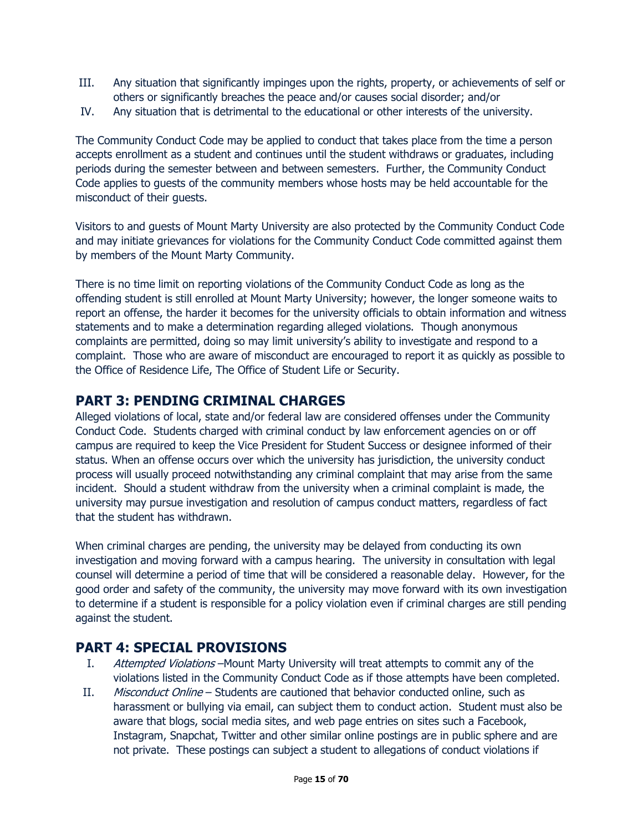- III. Any situation that significantly impinges upon the rights, property, or achievements of self or others or significantly breaches the peace and/or causes social disorder; and/or
- IV. Any situation that is detrimental to the educational or other interests of the university.

The Community Conduct Code may be applied to conduct that takes place from the time a person accepts enrollment as a student and continues until the student withdraws or graduates, including periods during the semester between and between semesters. Further, the Community Conduct Code applies to guests of the community members whose hosts may be held accountable for the misconduct of their guests.

Visitors to and guests of Mount Marty University are also protected by the Community Conduct Code and may initiate grievances for violations for the Community Conduct Code committed against them by members of the Mount Marty Community.

There is no time limit on reporting violations of the Community Conduct Code as long as the offending student is still enrolled at Mount Marty University; however, the longer someone waits to report an offense, the harder it becomes for the university officials to obtain information and witness statements and to make a determination regarding alleged violations. Though anonymous complaints are permitted, doing so may limit university's ability to investigate and respond to a complaint. Those who are aware of misconduct are encouraged to report it as quickly as possible to the Office of Residence Life, The Office of Student Life or Security.

### **PART 3: PENDING CRIMINAL CHARGES**

Alleged violations of local, state and/or federal law are considered offenses under the Community Conduct Code. Students charged with criminal conduct by law enforcement agencies on or off campus are required to keep the Vice President for Student Success or designee informed of their status. When an offense occurs over which the university has jurisdiction, the university conduct process will usually proceed notwithstanding any criminal complaint that may arise from the same incident. Should a student withdraw from the university when a criminal complaint is made, the university may pursue investigation and resolution of campus conduct matters, regardless of fact that the student has withdrawn.

When criminal charges are pending, the university may be delayed from conducting its own investigation and moving forward with a campus hearing. The university in consultation with legal counsel will determine a period of time that will be considered a reasonable delay. However, for the good order and safety of the community, the university may move forward with its own investigation to determine if a student is responsible for a policy violation even if criminal charges are still pending against the student.

# **PART 4: SPECIAL PROVISIONS**

- I. Attempted Violations–Mount Marty University will treat attempts to commit any of the violations listed in the Community Conduct Code as if those attempts have been completed.
- II. Misconduct Online Students are cautioned that behavior conducted online, such as harassment or bullying via email, can subject them to conduct action. Student must also be aware that blogs, social media sites, and web page entries on sites such a Facebook, Instagram, Snapchat, Twitter and other similar online postings are in public sphere and are not private. These postings can subject a student to allegations of conduct violations if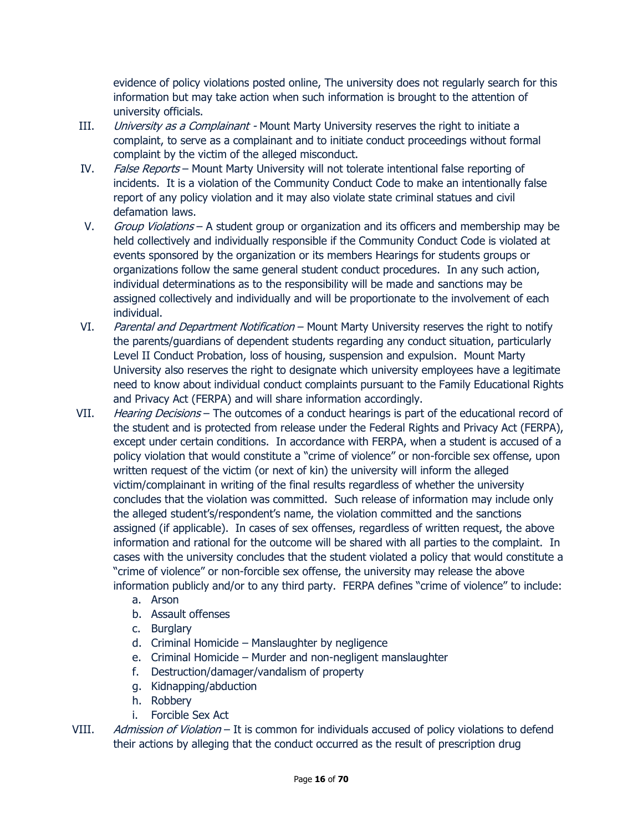evidence of policy violations posted online, The university does not regularly search for this information but may take action when such information is brought to the attention of university officials.

- III. *University as a Complainant* Mount Marty University reserves the right to initiate a complaint, to serve as a complainant and to initiate conduct proceedings without formal complaint by the victim of the alleged misconduct.
- IV. False Reports Mount Marty University will not tolerate intentional false reporting of incidents. It is a violation of the Community Conduct Code to make an intentionally false report of any policy violation and it may also violate state criminal statues and civil defamation laws.
- V. Group Violations A student group or organization and its officers and membership may be held collectively and individually responsible if the Community Conduct Code is violated at events sponsored by the organization or its members Hearings for students groups or organizations follow the same general student conduct procedures. In any such action, individual determinations as to the responsibility will be made and sanctions may be assigned collectively and individually and will be proportionate to the involvement of each individual.
- VI. Parental and Department Notification Mount Marty University reserves the right to notify the parents/guardians of dependent students regarding any conduct situation, particularly Level II Conduct Probation, loss of housing, suspension and expulsion. Mount Marty University also reserves the right to designate which university employees have a legitimate need to know about individual conduct complaints pursuant to the Family Educational Rights and Privacy Act (FERPA) and will share information accordingly.
- VII. Hearing Decisions The outcomes of a conduct hearings is part of the educational record of the student and is protected from release under the Federal Rights and Privacy Act (FERPA), except under certain conditions. In accordance with FERPA, when a student is accused of a policy violation that would constitute a "crime of violence" or non-forcible sex offense, upon written request of the victim (or next of kin) the university will inform the alleged victim/complainant in writing of the final results regardless of whether the university concludes that the violation was committed. Such release of information may include only the alleged student's/respondent's name, the violation committed and the sanctions assigned (if applicable). In cases of sex offenses, regardless of written request, the above information and rational for the outcome will be shared with all parties to the complaint. In cases with the university concludes that the student violated a policy that would constitute a "crime of violence" or non-forcible sex offense, the university may release the above information publicly and/or to any third party. FERPA defines "crime of violence" to include:
	- a. Arson
	- b. Assault offenses
	- c. Burglary
	- d. Criminal Homicide Manslaughter by negligence
	- e. Criminal Homicide Murder and non-negligent manslaughter
	- f. Destruction/damager/vandalism of property
	- g. Kidnapping/abduction
	- h. Robbery
	- i. Forcible Sex Act
- VIII. Admission of Violation It is common for individuals accused of policy violations to defend their actions by alleging that the conduct occurred as the result of prescription drug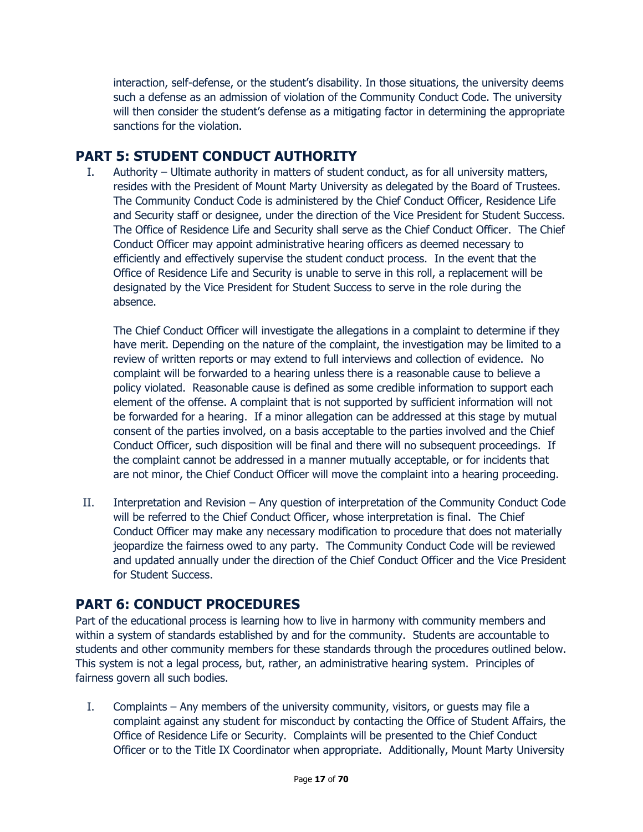interaction, self-defense, or the student's disability. In those situations, the university deems such a defense as an admission of violation of the Community Conduct Code. The university will then consider the student's defense as a mitigating factor in determining the appropriate sanctions for the violation.

### **PART 5: STUDENT CONDUCT AUTHORITY**

I. Authority – Ultimate authority in matters of student conduct, as for all university matters, resides with the President of Mount Marty University as delegated by the Board of Trustees. The Community Conduct Code is administered by the Chief Conduct Officer, Residence Life and Security staff or designee, under the direction of the Vice President for Student Success. The Office of Residence Life and Security shall serve as the Chief Conduct Officer. The Chief Conduct Officer may appoint administrative hearing officers as deemed necessary to efficiently and effectively supervise the student conduct process. In the event that the Office of Residence Life and Security is unable to serve in this roll, a replacement will be designated by the Vice President for Student Success to serve in the role during the absence.

The Chief Conduct Officer will investigate the allegations in a complaint to determine if they have merit. Depending on the nature of the complaint, the investigation may be limited to a review of written reports or may extend to full interviews and collection of evidence. No complaint will be forwarded to a hearing unless there is a reasonable cause to believe a policy violated. Reasonable cause is defined as some credible information to support each element of the offense. A complaint that is not supported by sufficient information will not be forwarded for a hearing. If a minor allegation can be addressed at this stage by mutual consent of the parties involved, on a basis acceptable to the parties involved and the Chief Conduct Officer, such disposition will be final and there will no subsequent proceedings. If the complaint cannot be addressed in a manner mutually acceptable, or for incidents that are not minor, the Chief Conduct Officer will move the complaint into a hearing proceeding.

II. Interpretation and Revision – Any question of interpretation of the Community Conduct Code will be referred to the Chief Conduct Officer, whose interpretation is final. The Chief Conduct Officer may make any necessary modification to procedure that does not materially jeopardize the fairness owed to any party. The Community Conduct Code will be reviewed and updated annually under the direction of the Chief Conduct Officer and the Vice President for Student Success.

# **PART 6: CONDUCT PROCEDURES**

Part of the educational process is learning how to live in harmony with community members and within a system of standards established by and for the community. Students are accountable to students and other community members for these standards through the procedures outlined below. This system is not a legal process, but, rather, an administrative hearing system. Principles of fairness govern all such bodies.

I. Complaints – Any members of the university community, visitors, or guests may file a complaint against any student for misconduct by contacting the Office of Student Affairs, the Office of Residence Life or Security. Complaints will be presented to the Chief Conduct Officer or to the Title IX Coordinator when appropriate. Additionally, Mount Marty University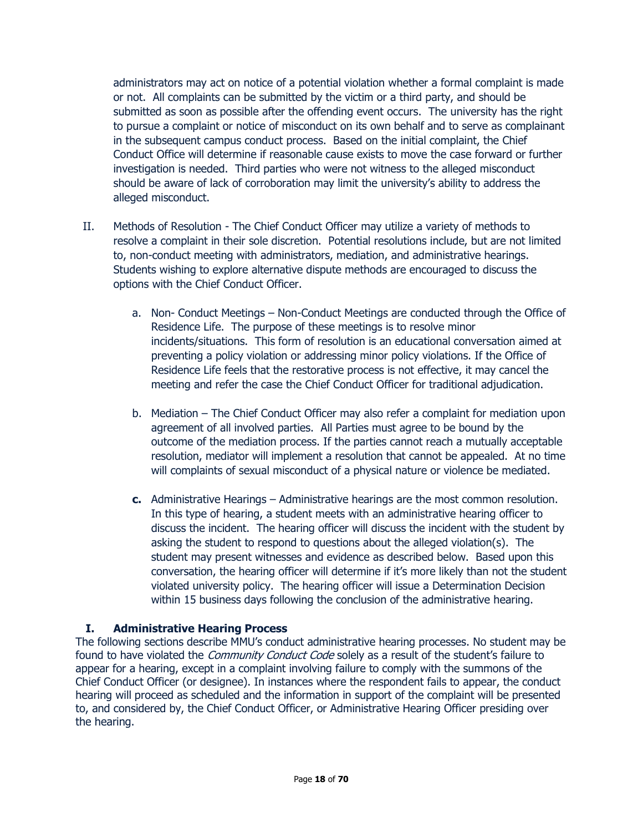administrators may act on notice of a potential violation whether a formal complaint is made or not. All complaints can be submitted by the victim or a third party, and should be submitted as soon as possible after the offending event occurs. The university has the right to pursue a complaint or notice of misconduct on its own behalf and to serve as complainant in the subsequent campus conduct process. Based on the initial complaint, the Chief Conduct Office will determine if reasonable cause exists to move the case forward or further investigation is needed. Third parties who were not witness to the alleged misconduct should be aware of lack of corroboration may limit the university's ability to address the alleged misconduct.

- II. Methods of Resolution The Chief Conduct Officer may utilize a variety of methods to resolve a complaint in their sole discretion. Potential resolutions include, but are not limited to, non-conduct meeting with administrators, mediation, and administrative hearings. Students wishing to explore alternative dispute methods are encouraged to discuss the options with the Chief Conduct Officer.
	- a. Non- Conduct Meetings Non-Conduct Meetings are conducted through the Office of Residence Life. The purpose of these meetings is to resolve minor incidents/situations. This form of resolution is an educational conversation aimed at preventing a policy violation or addressing minor policy violations. If the Office of Residence Life feels that the restorative process is not effective, it may cancel the meeting and refer the case the Chief Conduct Officer for traditional adjudication.
	- b. Mediation The Chief Conduct Officer may also refer a complaint for mediation upon agreement of all involved parties. All Parties must agree to be bound by the outcome of the mediation process. If the parties cannot reach a mutually acceptable resolution, mediator will implement a resolution that cannot be appealed. At no time will complaints of sexual misconduct of a physical nature or violence be mediated.
	- **c.** Administrative Hearings Administrative hearings are the most common resolution. In this type of hearing, a student meets with an administrative hearing officer to discuss the incident. The hearing officer will discuss the incident with the student by asking the student to respond to questions about the alleged violation(s). The student may present witnesses and evidence as described below. Based upon this conversation, the hearing officer will determine if it's more likely than not the student violated university policy. The hearing officer will issue a Determination Decision within 15 business days following the conclusion of the administrative hearing.

#### **I. Administrative Hearing Process**

The following sections describe MMU's conduct administrative hearing processes. No student may be found to have violated the *Community Conduct Code* solely as a result of the student's failure to appear for a hearing, except in a complaint involving failure to comply with the summons of the Chief Conduct Officer (or designee). In instances where the respondent fails to appear, the conduct hearing will proceed as scheduled and the information in support of the complaint will be presented to, and considered by, the Chief Conduct Officer, or Administrative Hearing Officer presiding over the hearing.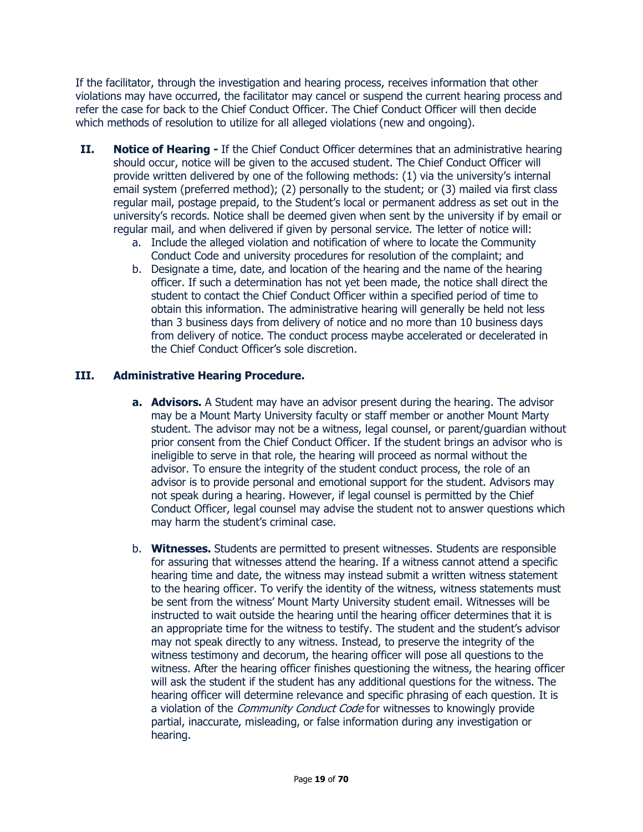If the facilitator, through the investigation and hearing process, receives information that other violations may have occurred, the facilitator may cancel or suspend the current hearing process and refer the case for back to the Chief Conduct Officer. The Chief Conduct Officer will then decide which methods of resolution to utilize for all alleged violations (new and ongoing).

- **II. Notice of Hearing** If the Chief Conduct Officer determines that an administrative hearing should occur, notice will be given to the accused student. The Chief Conduct Officer will provide written delivered by one of the following methods: (1) via the university's internal email system (preferred method); (2) personally to the student; or (3) mailed via first class regular mail, postage prepaid, to the Student's local or permanent address as set out in the university's records. Notice shall be deemed given when sent by the university if by email or regular mail, and when delivered if given by personal service. The letter of notice will:
	- a. Include the alleged violation and notification of where to locate the Community Conduct Code and university procedures for resolution of the complaint; and
	- b. Designate a time, date, and location of the hearing and the name of the hearing officer. If such a determination has not yet been made, the notice shall direct the student to contact the Chief Conduct Officer within a specified period of time to obtain this information. The administrative hearing will generally be held not less than 3 business days from delivery of notice and no more than 10 business days from delivery of notice. The conduct process maybe accelerated or decelerated in the Chief Conduct Officer's sole discretion.

#### **III. Administrative Hearing Procedure.**

- **a. Advisors.** A Student may have an advisor present during the hearing. The advisor may be a Mount Marty University faculty or staff member or another Mount Marty student. The advisor may not be a witness, legal counsel, or parent/guardian without prior consent from the Chief Conduct Officer. If the student brings an advisor who is ineligible to serve in that role, the hearing will proceed as normal without the advisor. To ensure the integrity of the student conduct process, the role of an advisor is to provide personal and emotional support for the student. Advisors may not speak during a hearing. However, if legal counsel is permitted by the Chief Conduct Officer, legal counsel may advise the student not to answer questions which may harm the student's criminal case.
- b. **Witnesses.** Students are permitted to present witnesses. Students are responsible for assuring that witnesses attend the hearing. If a witness cannot attend a specific hearing time and date, the witness may instead submit a written witness statement to the hearing officer. To verify the identity of the witness, witness statements must be sent from the witness' Mount Marty University student email. Witnesses will be instructed to wait outside the hearing until the hearing officer determines that it is an appropriate time for the witness to testify. The student and the student's advisor may not speak directly to any witness. Instead, to preserve the integrity of the witness testimony and decorum, the hearing officer will pose all questions to the witness. After the hearing officer finishes questioning the witness, the hearing officer will ask the student if the student has any additional questions for the witness. The hearing officer will determine relevance and specific phrasing of each question. It is a violation of the *Community Conduct Code* for witnesses to knowingly provide partial, inaccurate, misleading, or false information during any investigation or hearing.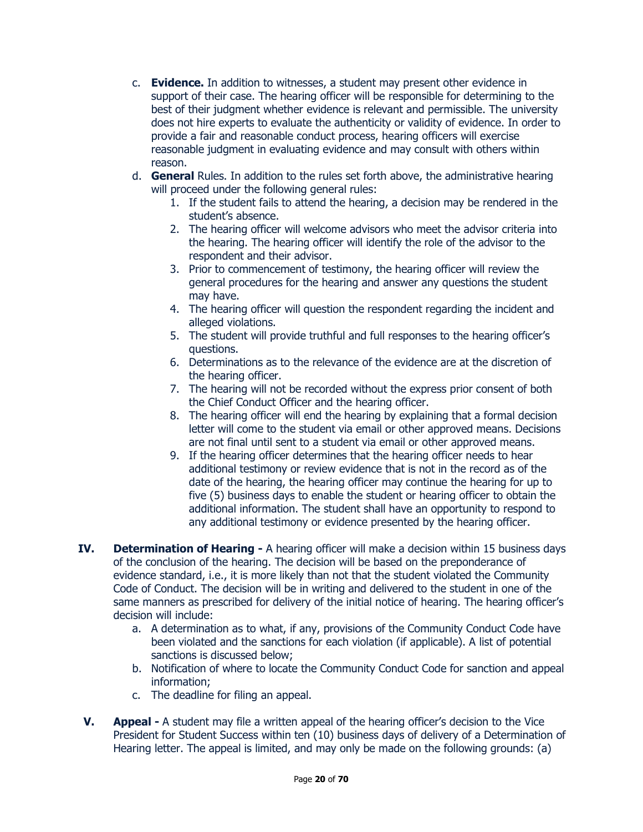- c. **Evidence.** In addition to witnesses, a student may present other evidence in support of their case. The hearing officer will be responsible for determining to the best of their judgment whether evidence is relevant and permissible. The university does not hire experts to evaluate the authenticity or validity of evidence. In order to provide a fair and reasonable conduct process, hearing officers will exercise reasonable judgment in evaluating evidence and may consult with others within reason.
- d. **General** Rules. In addition to the rules set forth above, the administrative hearing will proceed under the following general rules:
	- 1. If the student fails to attend the hearing, a decision may be rendered in the student's absence.
	- 2. The hearing officer will welcome advisors who meet the advisor criteria into the hearing. The hearing officer will identify the role of the advisor to the respondent and their advisor.
	- 3. Prior to commencement of testimony, the hearing officer will review the general procedures for the hearing and answer any questions the student may have.
	- 4. The hearing officer will question the respondent regarding the incident and alleged violations.
	- 5. The student will provide truthful and full responses to the hearing officer's questions.
	- 6. Determinations as to the relevance of the evidence are at the discretion of the hearing officer.
	- 7. The hearing will not be recorded without the express prior consent of both the Chief Conduct Officer and the hearing officer.
	- 8. The hearing officer will end the hearing by explaining that a formal decision letter will come to the student via email or other approved means. Decisions are not final until sent to a student via email or other approved means.
	- 9. If the hearing officer determines that the hearing officer needs to hear additional testimony or review evidence that is not in the record as of the date of the hearing, the hearing officer may continue the hearing for up to five (5) business days to enable the student or hearing officer to obtain the additional information. The student shall have an opportunity to respond to any additional testimony or evidence presented by the hearing officer.
- **IV. Determination of Hearing -** A hearing officer will make a decision within 15 business days of the conclusion of the hearing. The decision will be based on the preponderance of evidence standard, i.e., it is more likely than not that the student violated the Community Code of Conduct. The decision will be in writing and delivered to the student in one of the same manners as prescribed for delivery of the initial notice of hearing. The hearing officer's decision will include:
	- a. A determination as to what, if any, provisions of the Community Conduct Code have been violated and the sanctions for each violation (if applicable). A list of potential sanctions is discussed below;
	- b. Notification of where to locate the Community Conduct Code for sanction and appeal information;
	- c. The deadline for filing an appeal.
- **V. Appeal -** A student may file a written appeal of the hearing officer's decision to the Vice President for Student Success within ten (10) business days of delivery of a Determination of Hearing letter. The appeal is limited, and may only be made on the following grounds: (a)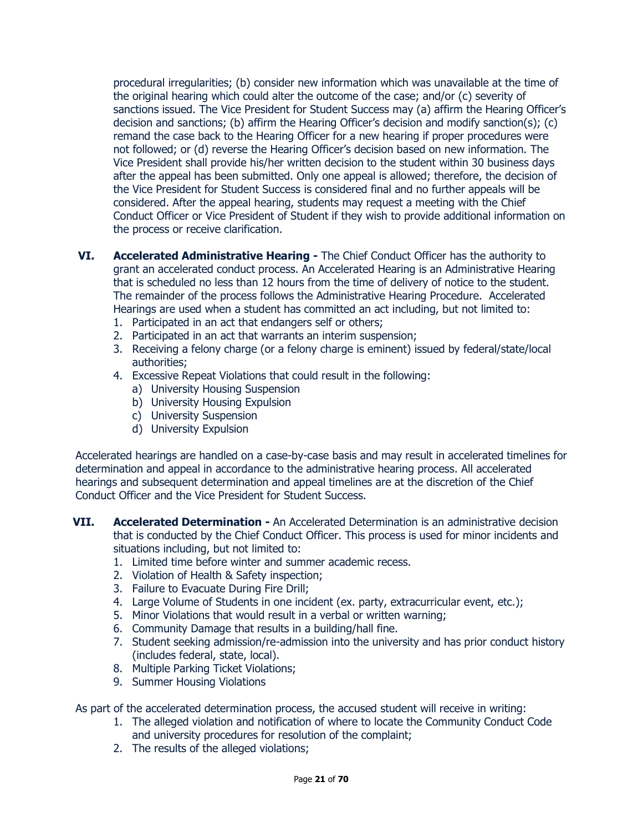procedural irregularities; (b) consider new information which was unavailable at the time of the original hearing which could alter the outcome of the case; and/or (c) severity of sanctions issued. The Vice President for Student Success may (a) affirm the Hearing Officer's decision and sanctions; (b) affirm the Hearing Officer's decision and modify sanction(s); (c) remand the case back to the Hearing Officer for a new hearing if proper procedures were not followed; or (d) reverse the Hearing Officer's decision based on new information. The Vice President shall provide his/her written decision to the student within 30 business days after the appeal has been submitted. Only one appeal is allowed; therefore, the decision of the Vice President for Student Success is considered final and no further appeals will be considered. After the appeal hearing, students may request a meeting with the Chief Conduct Officer or Vice President of Student if they wish to provide additional information on the process or receive clarification.

- **VI. Accelerated Administrative Hearing -** The Chief Conduct Officer has the authority to grant an accelerated conduct process. An Accelerated Hearing is an Administrative Hearing that is scheduled no less than 12 hours from the time of delivery of notice to the student. The remainder of the process follows the Administrative Hearing Procedure. Accelerated Hearings are used when a student has committed an act including, but not limited to:
	- 1. Participated in an act that endangers self or others;
	- 2. Participated in an act that warrants an interim suspension;
	- 3. Receiving a felony charge (or a felony charge is eminent) issued by federal/state/local authorities;
	- 4. Excessive Repeat Violations that could result in the following:
		- a) University Housing Suspension
		- b) University Housing Expulsion
		- c) University Suspension
		- d) University Expulsion

Accelerated hearings are handled on a case-by-case basis and may result in accelerated timelines for determination and appeal in accordance to the administrative hearing process. All accelerated hearings and subsequent determination and appeal timelines are at the discretion of the Chief Conduct Officer and the Vice President for Student Success.

- **VII. Accelerated Determination -** An Accelerated Determination is an administrative decision that is conducted by the Chief Conduct Officer. This process is used for minor incidents and situations including, but not limited to:
	- 1. Limited time before winter and summer academic recess.
	- 2. Violation of Health & Safety inspection;
	- 3. Failure to Evacuate During Fire Drill;
	- 4. Large Volume of Students in one incident (ex. party, extracurricular event, etc.);
	- 5. Minor Violations that would result in a verbal or written warning;
	- 6. Community Damage that results in a building/hall fine.
	- 7. Student seeking admission/re-admission into the university and has prior conduct history (includes federal, state, local).
	- 8. Multiple Parking Ticket Violations;
	- 9. Summer Housing Violations

As part of the accelerated determination process, the accused student will receive in writing:

- 1. The alleged violation and notification of where to locate the Community Conduct Code and university procedures for resolution of the complaint;
- 2. The results of the alleged violations;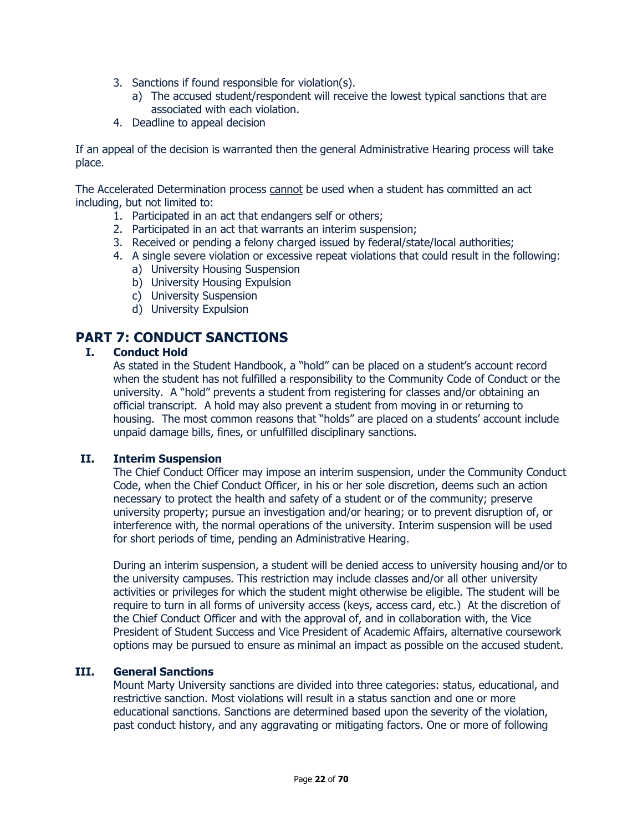- 3. Sanctions if found responsible for violation(s).
	- a) The accused student/respondent will receive the lowest typical sanctions that are associated with each violation.
- 4. Deadline to appeal decision

If an appeal of the decision is warranted then the general Administrative Hearing process will take place.

The Accelerated Determination process cannot be used when a student has committed an act including, but not limited to:

- 1. Participated in an act that endangers self or others;
- 2. Participated in an act that warrants an interim suspension;
- 3. Received or pending a felony charged issued by federal/state/local authorities;
- 4. A single severe violation or excessive repeat violations that could result in the following:
	- a) University Housing Suspension
	- b) University Housing Expulsion
	- c) University Suspension
	- d) University Expulsion

### **PART 7: CONDUCT SANCTIONS**

#### **I. Conduct Hold**

As stated in the Student Handbook, a "hold" can be placed on a student's account record when the student has not fulfilled a responsibility to the Community Code of Conduct or the university. A "hold" prevents a student from registering for classes and/or obtaining an official transcript. A hold may also prevent a student from moving in or returning to housing. The most common reasons that "holds" are placed on a students' account include unpaid damage bills, fines, or unfulfilled disciplinary sanctions.

#### **II. Interim Suspension**

The Chief Conduct Officer may impose an interim suspension, under the Community Conduct Code, when the Chief Conduct Officer, in his or her sole discretion, deems such an action necessary to protect the health and safety of a student or of the community; preserve university property; pursue an investigation and/or hearing; or to prevent disruption of, or interference with, the normal operations of the university. Interim suspension will be used for short periods of time, pending an Administrative Hearing.

During an interim suspension, a student will be denied access to university housing and/or to the university campuses. This restriction may include classes and/or all other university activities or privileges for which the student might otherwise be eligible. The student will be require to turn in all forms of university access (keys, access card, etc.) At the discretion of the Chief Conduct Officer and with the approval of, and in collaboration with, the Vice President of Student Success and Vice President of Academic Affairs, alternative coursework options may be pursued to ensure as minimal an impact as possible on the accused student.

#### **III. General Sanctions**

Mount Marty University sanctions are divided into three categories: status, educational, and restrictive sanction. Most violations will result in a status sanction and one or more educational sanctions. Sanctions are determined based upon the severity of the violation, past conduct history, and any aggravating or mitigating factors. One or more of following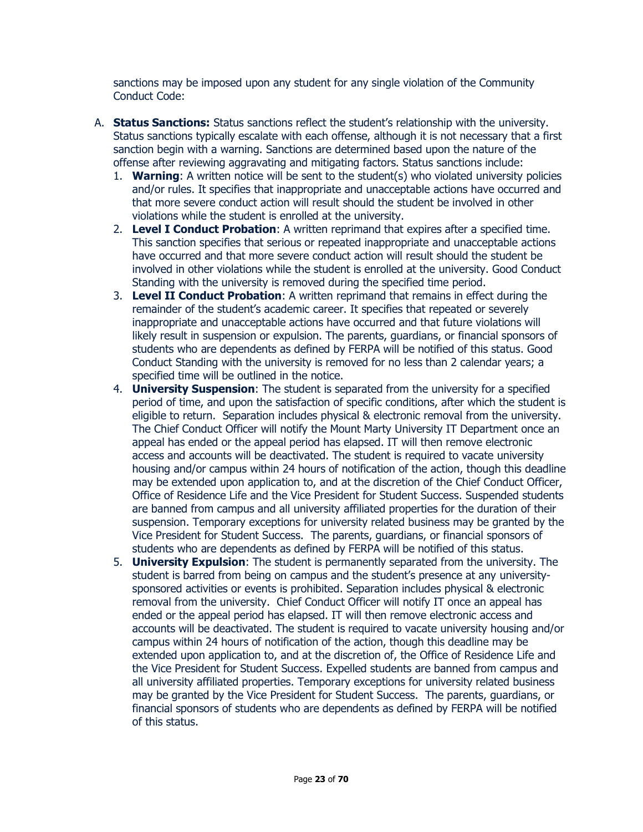sanctions may be imposed upon any student for any single violation of the Community Conduct Code:

- A. **Status Sanctions:** Status sanctions reflect the student's relationship with the university. Status sanctions typically escalate with each offense, although it is not necessary that a first sanction begin with a warning. Sanctions are determined based upon the nature of the offense after reviewing aggravating and mitigating factors. Status sanctions include:
	- 1. **Warning**: A written notice will be sent to the student(s) who violated university policies and/or rules. It specifies that inappropriate and unacceptable actions have occurred and that more severe conduct action will result should the student be involved in other violations while the student is enrolled at the university.
	- 2. **Level I Conduct Probation**: A written reprimand that expires after a specified time. This sanction specifies that serious or repeated inappropriate and unacceptable actions have occurred and that more severe conduct action will result should the student be involved in other violations while the student is enrolled at the university. Good Conduct Standing with the university is removed during the specified time period.
	- 3. **Level II Conduct Probation**: A written reprimand that remains in effect during the remainder of the student's academic career. It specifies that repeated or severely inappropriate and unacceptable actions have occurred and that future violations will likely result in suspension or expulsion. The parents, guardians, or financial sponsors of students who are dependents as defined by FERPA will be notified of this status. Good Conduct Standing with the university is removed for no less than 2 calendar years; a specified time will be outlined in the notice.
	- 4. **University Suspension**: The student is separated from the university for a specified period of time, and upon the satisfaction of specific conditions, after which the student is eligible to return. Separation includes physical & electronic removal from the university. The Chief Conduct Officer will notify the Mount Marty University IT Department once an appeal has ended or the appeal period has elapsed. IT will then remove electronic access and accounts will be deactivated. The student is required to vacate university housing and/or campus within 24 hours of notification of the action, though this deadline may be extended upon application to, and at the discretion of the Chief Conduct Officer, Office of Residence Life and the Vice President for Student Success. Suspended students are banned from campus and all university affiliated properties for the duration of their suspension. Temporary exceptions for university related business may be granted by the Vice President for Student Success. The parents, guardians, or financial sponsors of students who are dependents as defined by FERPA will be notified of this status.
	- 5. **University Expulsion**: The student is permanently separated from the university. The student is barred from being on campus and the student's presence at any universitysponsored activities or events is prohibited. Separation includes physical & electronic removal from the university. Chief Conduct Officer will notify IT once an appeal has ended or the appeal period has elapsed. IT will then remove electronic access and accounts will be deactivated. The student is required to vacate university housing and/or campus within 24 hours of notification of the action, though this deadline may be extended upon application to, and at the discretion of, the Office of Residence Life and the Vice President for Student Success. Expelled students are banned from campus and all university affiliated properties. Temporary exceptions for university related business may be granted by the Vice President for Student Success. The parents, guardians, or financial sponsors of students who are dependents as defined by FERPA will be notified of this status.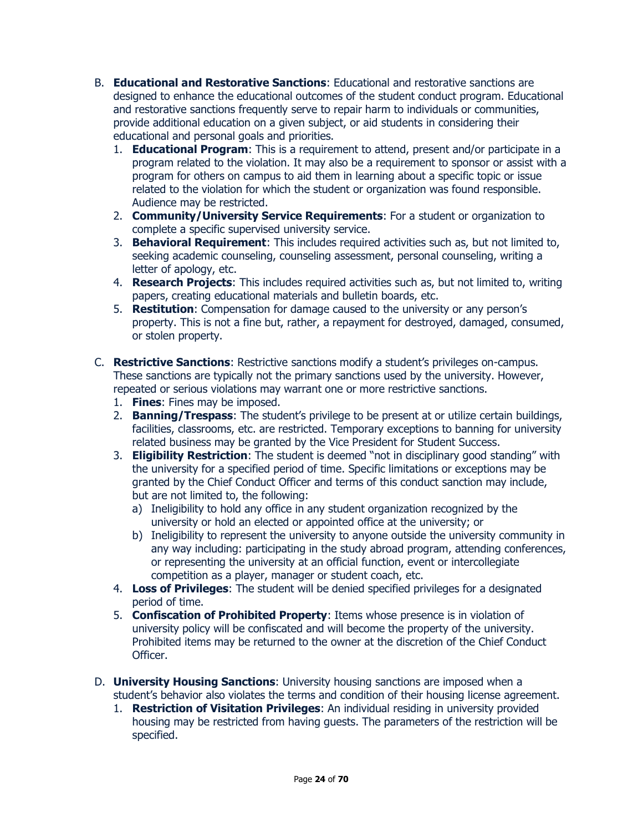- B. **Educational and Restorative Sanctions**: Educational and restorative sanctions are designed to enhance the educational outcomes of the student conduct program. Educational and restorative sanctions frequently serve to repair harm to individuals or communities, provide additional education on a given subject, or aid students in considering their educational and personal goals and priorities.
	- 1. **Educational Program**: This is a requirement to attend, present and/or participate in a program related to the violation. It may also be a requirement to sponsor or assist with a program for others on campus to aid them in learning about a specific topic or issue related to the violation for which the student or organization was found responsible. Audience may be restricted.
	- 2. **Community/University Service Requirements**: For a student or organization to complete a specific supervised university service.
	- 3. **Behavioral Requirement**: This includes required activities such as, but not limited to, seeking academic counseling, counseling assessment, personal counseling, writing a letter of apology, etc.
	- 4. **Research Projects**: This includes required activities such as, but not limited to, writing papers, creating educational materials and bulletin boards, etc.
	- 5. **Restitution**: Compensation for damage caused to the university or any person's property. This is not a fine but, rather, a repayment for destroyed, damaged, consumed, or stolen property.
- C. **Restrictive Sanctions**: Restrictive sanctions modify a student's privileges on-campus. These sanctions are typically not the primary sanctions used by the university. However, repeated or serious violations may warrant one or more restrictive sanctions.
	- 1. **Fines**: Fines may be imposed.
	- 2. **Banning/Trespass**: The student's privilege to be present at or utilize certain buildings, facilities, classrooms, etc. are restricted. Temporary exceptions to banning for university related business may be granted by the Vice President for Student Success.
	- 3. **Eligibility Restriction**: The student is deemed "not in disciplinary good standing" with the university for a specified period of time. Specific limitations or exceptions may be granted by the Chief Conduct Officer and terms of this conduct sanction may include, but are not limited to, the following:
		- a) Ineligibility to hold any office in any student organization recognized by the university or hold an elected or appointed office at the university; or
		- b) Ineligibility to represent the university to anyone outside the university community in any way including: participating in the study abroad program, attending conferences, or representing the university at an official function, event or intercollegiate competition as a player, manager or student coach, etc.
	- 4. **Loss of Privileges**: The student will be denied specified privileges for a designated period of time.
	- 5. **Confiscation of Prohibited Property**: Items whose presence is in violation of university policy will be confiscated and will become the property of the university. Prohibited items may be returned to the owner at the discretion of the Chief Conduct Officer.
- D. **University Housing Sanctions**: University housing sanctions are imposed when a student's behavior also violates the terms and condition of their housing license agreement.
	- 1. **Restriction of Visitation Privileges**: An individual residing in university provided housing may be restricted from having guests. The parameters of the restriction will be specified.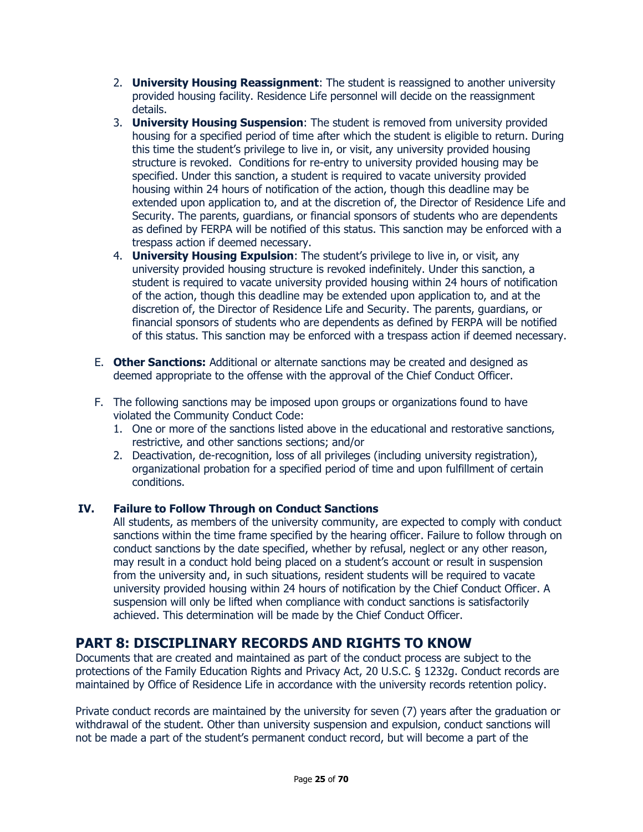- 2. **University Housing Reassignment**: The student is reassigned to another university provided housing facility. Residence Life personnel will decide on the reassignment details.
- 3. **University Housing Suspension**: The student is removed from university provided housing for a specified period of time after which the student is eligible to return. During this time the student's privilege to live in, or visit, any university provided housing structure is revoked. Conditions for re-entry to university provided housing may be specified. Under this sanction, a student is required to vacate university provided housing within 24 hours of notification of the action, though this deadline may be extended upon application to, and at the discretion of, the Director of Residence Life and Security. The parents, guardians, or financial sponsors of students who are dependents as defined by FERPA will be notified of this status. This sanction may be enforced with a trespass action if deemed necessary.
- 4. **University Housing Expulsion**: The student's privilege to live in, or visit, any university provided housing structure is revoked indefinitely. Under this sanction, a student is required to vacate university provided housing within 24 hours of notification of the action, though this deadline may be extended upon application to, and at the discretion of, the Director of Residence Life and Security. The parents, guardians, or financial sponsors of students who are dependents as defined by FERPA will be notified of this status. This sanction may be enforced with a trespass action if deemed necessary.
- E. **Other Sanctions:** Additional or alternate sanctions may be created and designed as deemed appropriate to the offense with the approval of the Chief Conduct Officer.
- F. The following sanctions may be imposed upon groups or organizations found to have violated the Community Conduct Code:
	- 1. One or more of the sanctions listed above in the educational and restorative sanctions, restrictive, and other sanctions sections; and/or
	- 2. Deactivation, de-recognition, loss of all privileges (including university registration), organizational probation for a specified period of time and upon fulfillment of certain conditions.

### **IV. Failure to Follow Through on Conduct Sanctions**

All students, as members of the university community, are expected to comply with conduct sanctions within the time frame specified by the hearing officer. Failure to follow through on conduct sanctions by the date specified, whether by refusal, neglect or any other reason, may result in a conduct hold being placed on a student's account or result in suspension from the university and, in such situations, resident students will be required to vacate university provided housing within 24 hours of notification by the Chief Conduct Officer. A suspension will only be lifted when compliance with conduct sanctions is satisfactorily achieved. This determination will be made by the Chief Conduct Officer.

# **PART 8: DISCIPLINARY RECORDS AND RIGHTS TO KNOW**

Documents that are created and maintained as part of the conduct process are subject to the protections of the Family Education Rights and Privacy Act, 20 U.S.C. § 1232g. Conduct records are maintained by Office of Residence Life in accordance with the university records retention policy.

Private conduct records are maintained by the university for seven (7) years after the graduation or withdrawal of the student. Other than university suspension and expulsion, conduct sanctions will not be made a part of the student's permanent conduct record, but will become a part of the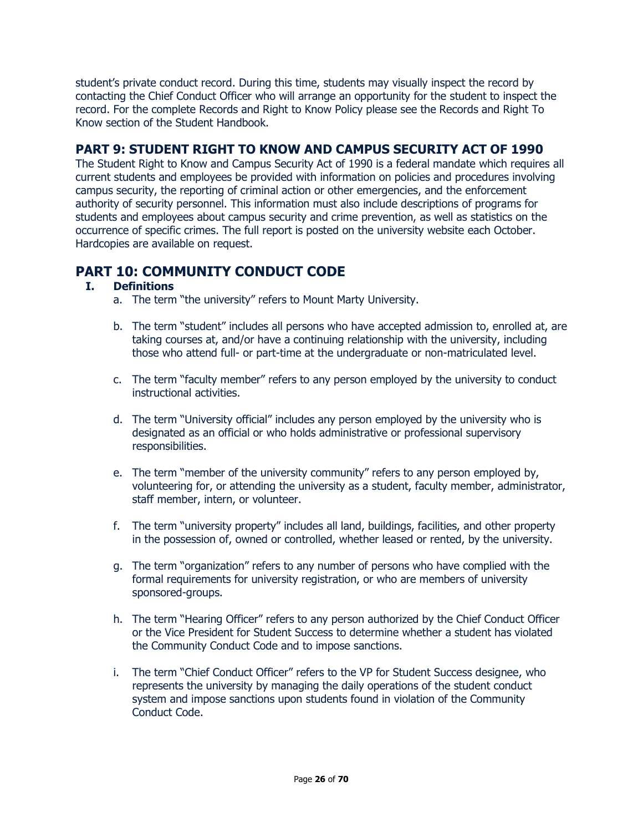student's private conduct record. During this time, students may visually inspect the record by contacting the Chief Conduct Officer who will arrange an opportunity for the student to inspect the record. For the complete Records and Right to Know Policy please see the Records and Right To Know section of the Student Handbook.

### **PART 9: STUDENT RIGHT TO KNOW AND CAMPUS SECURITY ACT OF 1990**

The Student Right to Know and Campus Security Act of 1990 is a federal mandate which requires all current students and employees be provided with information on policies and procedures involving campus security, the reporting of criminal action or other emergencies, and the enforcement authority of security personnel. This information must also include descriptions of programs for students and employees about campus security and crime prevention, as well as statistics on the occurrence of specific crimes. The full report is posted on the university website each October. Hardcopies are available on request.

# **PART 10: COMMUNITY CONDUCT CODE**

#### **I. Definitions**

- a. The term "the university" refers to Mount Marty University.
- b. The term "student" includes all persons who have accepted admission to, enrolled at, are taking courses at, and/or have a continuing relationship with the university, including those who attend full- or part-time at the undergraduate or non-matriculated level.
- c. The term "faculty member" refers to any person employed by the university to conduct instructional activities.
- d. The term "University official" includes any person employed by the university who is designated as an official or who holds administrative or professional supervisory responsibilities.
- e. The term "member of the university community" refers to any person employed by, volunteering for, or attending the university as a student, faculty member, administrator, staff member, intern, or volunteer.
- f. The term "university property" includes all land, buildings, facilities, and other property in the possession of, owned or controlled, whether leased or rented, by the university.
- g. The term "organization" refers to any number of persons who have complied with the formal requirements for university registration, or who are members of university sponsored-groups.
- h. The term "Hearing Officer" refers to any person authorized by the Chief Conduct Officer or the Vice President for Student Success to determine whether a student has violated the Community Conduct Code and to impose sanctions.
- i. The term "Chief Conduct Officer" refers to the VP for Student Success designee, who represents the university by managing the daily operations of the student conduct system and impose sanctions upon students found in violation of the Community Conduct Code.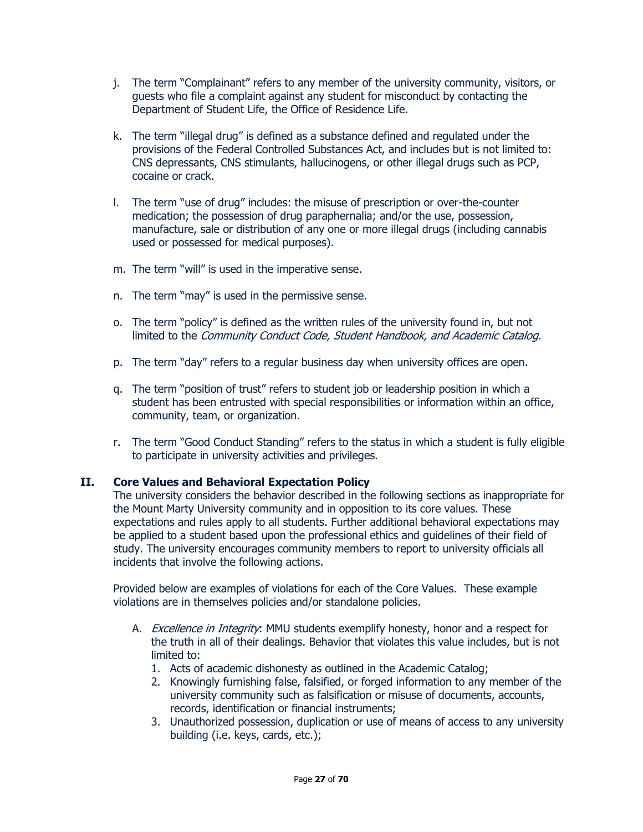- j. The term "Complainant" refers to any member of the university community, visitors, or guests who file a complaint against any student for misconduct by contacting the Department of Student Life, the Office of Residence Life.
- k. The term "illegal drug" is defined as a substance defined and regulated under the provisions of the Federal Controlled Substances Act, and includes but is not limited to: CNS depressants, CNS stimulants, hallucinogens, or other illegal drugs such as PCP, cocaine or crack.
- l. The term "use of drug" includes: the misuse of prescription or over-the-counter medication; the possession of drug paraphernalia; and/or the use, possession, manufacture, sale or distribution of any one or more illegal drugs (including cannabis used or possessed for medical purposes).
- m. The term "will" is used in the imperative sense.
- n. The term "may" is used in the permissive sense.
- o. The term "policy" is defined as the written rules of the university found in, but not limited to the Community Conduct Code, Student Handbook, and Academic Catalog.
- p. The term "day" refers to a regular business day when university offices are open.
- q. The term "position of trust" refers to student job or leadership position in which a student has been entrusted with special responsibilities or information within an office, community, team, or organization.
- r. The term "Good Conduct Standing" refers to the status in which a student is fully eligible to participate in university activities and privileges.

#### **II. Core Values and Behavioral Expectation Policy**

The university considers the behavior described in the following sections as inappropriate for the Mount Marty University community and in opposition to its core values. These expectations and rules apply to all students. Further additional behavioral expectations may be applied to a student based upon the professional ethics and guidelines of their field of study. The university encourages community members to report to university officials all incidents that involve the following actions.

Provided below are examples of violations for each of the Core Values. These example violations are in themselves policies and/or standalone policies.

- A. *Excellence in Integrity*: MMU students exemplify honesty, honor and a respect for the truth in all of their dealings. Behavior that violates this value includes, but is not limited to:
	- 1. Acts of academic dishonesty as outlined in the Academic Catalog;
	- 2. Knowingly furnishing false, falsified, or forged information to any member of the university community such as falsification or misuse of documents, accounts, records, identification or financial instruments;
	- 3. Unauthorized possession, duplication or use of means of access to any university building (i.e. keys, cards, etc.);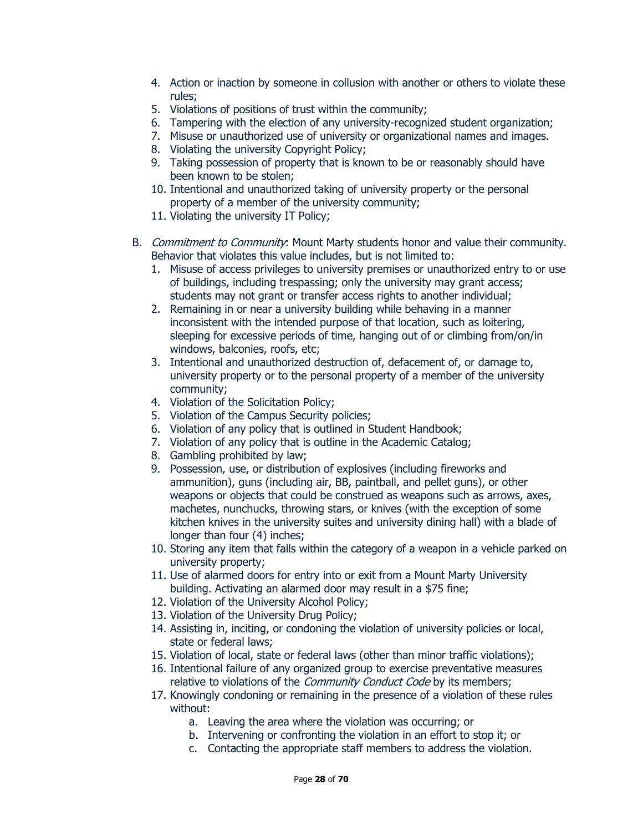- 4. Action or inaction by someone in collusion with another or others to violate these rules;
- 5. Violations of positions of trust within the community;
- 6. Tampering with the election of any university-recognized student organization;
- 7. Misuse or unauthorized use of university or organizational names and images.
- 8. Violating the university Copyright Policy;
- 9. Taking possession of property that is known to be or reasonably should have been known to be stolen;
- 10. Intentional and unauthorized taking of university property or the personal property of a member of the university community;
- 11. Violating the university IT Policy;
- B. Commitment to Community: Mount Marty students honor and value their community. Behavior that violates this value includes, but is not limited to:
	- 1. Misuse of access privileges to university premises or unauthorized entry to or use of buildings, including trespassing; only the university may grant access; students may not grant or transfer access rights to another individual;
	- 2. Remaining in or near a university building while behaving in a manner inconsistent with the intended purpose of that location, such as loitering, sleeping for excessive periods of time, hanging out of or climbing from/on/in windows, balconies, roofs, etc;
	- 3. Intentional and unauthorized destruction of, defacement of, or damage to, university property or to the personal property of a member of the university community;
	- 4. Violation of the Solicitation Policy;
	- 5. Violation of the Campus Security policies;
	- 6. Violation of any policy that is outlined in Student Handbook;
	- 7. Violation of any policy that is outline in the Academic Catalog;
	- 8. Gambling prohibited by law;
	- 9. Possession, use, or distribution of explosives (including fireworks and ammunition), guns (including air, BB, paintball, and pellet guns), or other weapons or objects that could be construed as weapons such as arrows, axes, machetes, nunchucks, throwing stars, or knives (with the exception of some kitchen knives in the university suites and university dining hall) with a blade of longer than four (4) inches;
	- 10. Storing any item that falls within the category of a weapon in a vehicle parked on university property;
	- 11. Use of alarmed doors for entry into or exit from a Mount Marty University building. Activating an alarmed door may result in a \$75 fine;
	- 12. Violation of the University Alcohol Policy;
	- 13. Violation of the University Drug Policy;
	- 14. Assisting in, inciting, or condoning the violation of university policies or local, state or federal laws;
	- 15. Violation of local, state or federal laws (other than minor traffic violations);
	- 16. Intentional failure of any organized group to exercise preventative measures relative to violations of the Community Conduct Code by its members;
	- 17. Knowingly condoning or remaining in the presence of a violation of these rules without:
		- a. Leaving the area where the violation was occurring; or
		- b. Intervening or confronting the violation in an effort to stop it; or
		- c. Contacting the appropriate staff members to address the violation.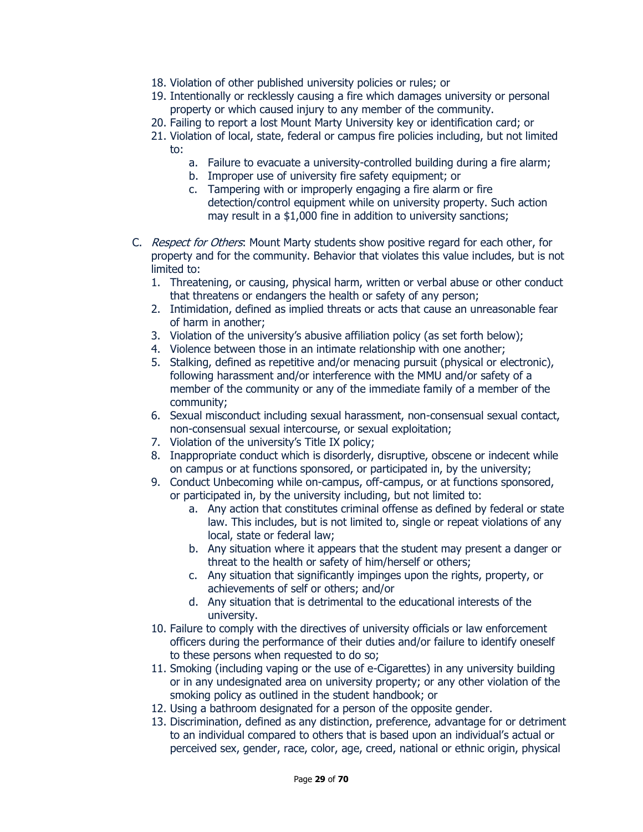- 18. Violation of other published university policies or rules; or
- 19. Intentionally or recklessly causing a fire which damages university or personal property or which caused injury to any member of the community.
- 20. Failing to report a lost Mount Marty University key or identification card; or
- 21. Violation of local, state, federal or campus fire policies including, but not limited to:
	- a. Failure to evacuate a university-controlled building during a fire alarm;
	- b. Improper use of university fire safety equipment; or
	- c. Tampering with or improperly engaging a fire alarm or fire detection/control equipment while on university property. Such action may result in a \$1,000 fine in addition to university sanctions;
- C. Respect for Others: Mount Marty students show positive regard for each other, for property and for the community. Behavior that violates this value includes, but is not limited to:
	- 1. Threatening, or causing, physical harm, written or verbal abuse or other conduct that threatens or endangers the health or safety of any person;
	- 2. Intimidation, defined as implied threats or acts that cause an unreasonable fear of harm in another;
	- 3. Violation of the university's abusive affiliation policy (as set forth below);
	- 4. Violence between those in an intimate relationship with one another;
	- 5. Stalking, defined as repetitive and/or menacing pursuit (physical or electronic), following harassment and/or interference with the MMU and/or safety of a member of the community or any of the immediate family of a member of the community;
	- 6. Sexual misconduct including sexual harassment, non-consensual sexual contact, non-consensual sexual intercourse, or sexual exploitation;
	- 7. Violation of the university's Title IX policy;
	- 8. Inappropriate conduct which is disorderly, disruptive, obscene or indecent while on campus or at functions sponsored, or participated in, by the university;
	- 9. Conduct Unbecoming while on-campus, off-campus, or at functions sponsored, or participated in, by the university including, but not limited to:
		- a. Any action that constitutes criminal offense as defined by federal or state law. This includes, but is not limited to, single or repeat violations of any local, state or federal law;
		- b. Any situation where it appears that the student may present a danger or threat to the health or safety of him/herself or others;
		- c. Any situation that significantly impinges upon the rights, property, or achievements of self or others; and/or
		- d. Any situation that is detrimental to the educational interests of the university.
	- 10. Failure to comply with the directives of university officials or law enforcement officers during the performance of their duties and/or failure to identify oneself to these persons when requested to do so;
	- 11. Smoking (including vaping or the use of e-Cigarettes) in any university building or in any undesignated area on university property; or any other violation of the smoking policy as outlined in the student handbook; or
	- 12. Using a bathroom designated for a person of the opposite gender.
	- 13. Discrimination, defined as any distinction, preference, advantage for or detriment to an individual compared to others that is based upon an individual's actual or perceived sex, gender, race, color, age, creed, national or ethnic origin, physical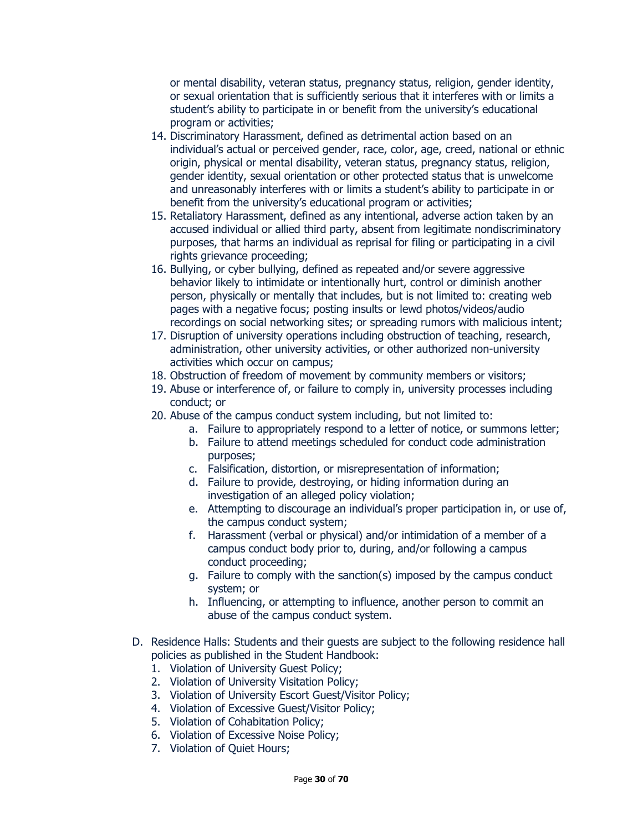or mental disability, veteran status, pregnancy status, religion, gender identity, or sexual orientation that is sufficiently serious that it interferes with or limits a student's ability to participate in or benefit from the university's educational program or activities;

- 14. Discriminatory Harassment, defined as detrimental action based on an individual's actual or perceived gender, race, color, age, creed, national or ethnic origin, physical or mental disability, veteran status, pregnancy status, religion, gender identity, sexual orientation or other protected status that is unwelcome and unreasonably interferes with or limits a student's ability to participate in or benefit from the university's educational program or activities;
- 15. Retaliatory Harassment, defined as any intentional, adverse action taken by an accused individual or allied third party, absent from legitimate nondiscriminatory purposes, that harms an individual as reprisal for filing or participating in a civil rights grievance proceeding;
- 16. Bullying, or cyber bullying, defined as repeated and/or severe aggressive behavior likely to intimidate or intentionally hurt, control or diminish another person, physically or mentally that includes, but is not limited to: creating web pages with a negative focus; posting insults or lewd photos/videos/audio recordings on social networking sites; or spreading rumors with malicious intent;
- 17. Disruption of university operations including obstruction of teaching, research, administration, other university activities, or other authorized non-university activities which occur on campus;
- 18. Obstruction of freedom of movement by community members or visitors;
- 19. Abuse or interference of, or failure to comply in, university processes including conduct; or
- 20. Abuse of the campus conduct system including, but not limited to:
	- a. Failure to appropriately respond to a letter of notice, or summons letter;
	- b. Failure to attend meetings scheduled for conduct code administration purposes;
	- c. Falsification, distortion, or misrepresentation of information;
	- d. Failure to provide, destroying, or hiding information during an investigation of an alleged policy violation;
	- e. Attempting to discourage an individual's proper participation in, or use of, the campus conduct system;
	- f. Harassment (verbal or physical) and/or intimidation of a member of a campus conduct body prior to, during, and/or following a campus conduct proceeding;
	- g. Failure to comply with the sanction(s) imposed by the campus conduct system; or
	- h. Influencing, or attempting to influence, another person to commit an abuse of the campus conduct system.
- D. Residence Halls: Students and their guests are subject to the following residence hall policies as published in the Student Handbook:
	- 1. Violation of University Guest Policy;
	- 2. Violation of University Visitation Policy;
	- 3. Violation of University Escort Guest/Visitor Policy;
	- 4. Violation of Excessive Guest/Visitor Policy;
	- 5. Violation of Cohabitation Policy;
	- 6. Violation of Excessive Noise Policy;
	- 7. Violation of Quiet Hours;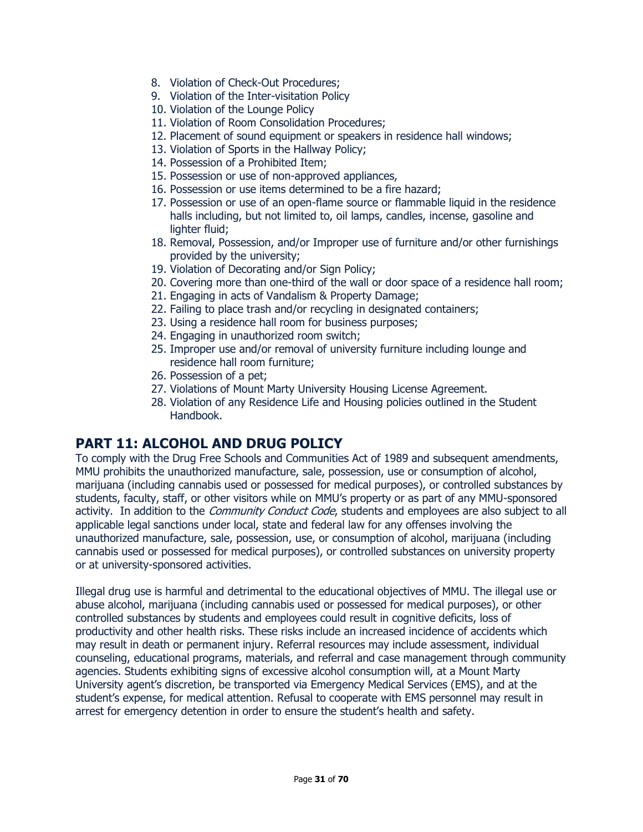- 8. Violation of Check-Out Procedures;
- 9. Violation of the Inter-visitation Policy
- 10. Violation of the Lounge Policy
- 11. Violation of Room Consolidation Procedures;
- 12. Placement of sound equipment or speakers in residence hall windows;
- 13. Violation of Sports in the Hallway Policy;
- 14. Possession of a Prohibited Item;
- 15. Possession or use of non-approved appliances,
- 16. Possession or use items determined to be a fire hazard;
- 17. Possession or use of an open-flame source or flammable liquid in the residence halls including, but not limited to, oil lamps, candles, incense, gasoline and lighter fluid;
- 18. Removal, Possession, and/or Improper use of furniture and/or other furnishings provided by the university;
- 19. Violation of Decorating and/or Sign Policy;
- 20. Covering more than one-third of the wall or door space of a residence hall room;
- 21. Engaging in acts of Vandalism & Property Damage;
- 22. Failing to place trash and/or recycling in designated containers;
- 23. Using a residence hall room for business purposes;
- 24. Engaging in unauthorized room switch;
- 25. Improper use and/or removal of university furniture including lounge and residence hall room furniture;
- 26. Possession of a pet;
- 27. Violations of Mount Marty University Housing License Agreement.
- 28. Violation of any Residence Life and Housing policies outlined in the Student Handbook.

# **PART 11: ALCOHOL AND DRUG POLICY**

To comply with the Drug Free Schools and Communities Act of 1989 and subsequent amendments, MMU prohibits the unauthorized manufacture, sale, possession, use or consumption of alcohol, marijuana (including cannabis used or possessed for medical purposes), or controlled substances by students, faculty, staff, or other visitors while on MMU's property or as part of any MMU-sponsored activity. In addition to the *Community Conduct Code*, students and employees are also subject to all applicable legal sanctions under local, state and federal law for any offenses involving the unauthorized manufacture, sale, possession, use, or consumption of alcohol, marijuana (including cannabis used or possessed for medical purposes), or controlled substances on university property or at university-sponsored activities.

Illegal drug use is harmful and detrimental to the educational objectives of MMU. The illegal use or abuse alcohol, marijuana (including cannabis used or possessed for medical purposes), or other controlled substances by students and employees could result in cognitive deficits, loss of productivity and other health risks. These risks include an increased incidence of accidents which may result in death or permanent injury. Referral resources may include assessment, individual counseling, educational programs, materials, and referral and case management through community agencies. Students exhibiting signs of excessive alcohol consumption will, at a Mount Marty University agent's discretion, be transported via Emergency Medical Services (EMS), and at the student's expense, for medical attention. Refusal to cooperate with EMS personnel may result in arrest for emergency detention in order to ensure the student's health and safety.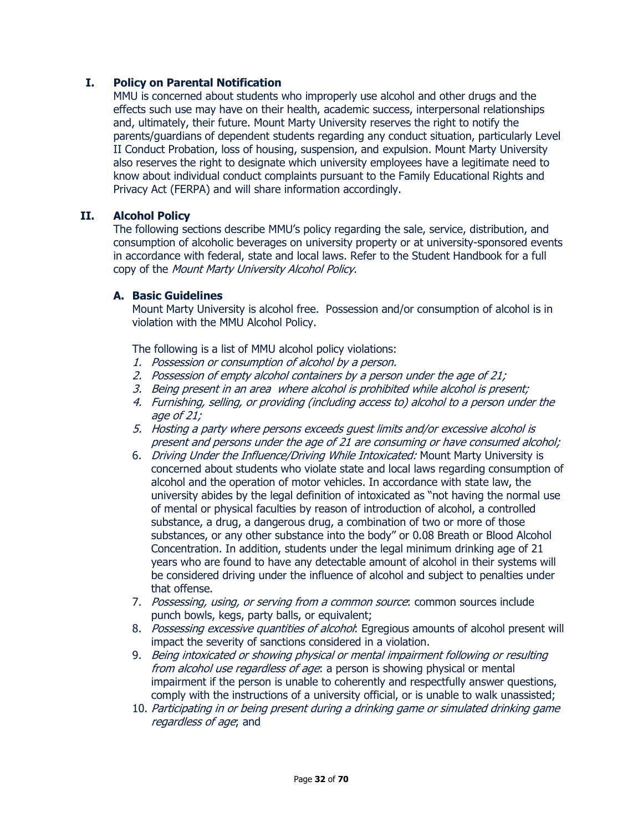#### **I. Policy on Parental Notification**

MMU is concerned about students who improperly use alcohol and other drugs and the effects such use may have on their health, academic success, interpersonal relationships and, ultimately, their future. Mount Marty University reserves the right to notify the parents/guardians of dependent students regarding any conduct situation, particularly Level II Conduct Probation, loss of housing, suspension, and expulsion. Mount Marty University also reserves the right to designate which university employees have a legitimate need to know about individual conduct complaints pursuant to the Family Educational Rights and Privacy Act (FERPA) and will share information accordingly.

#### **II. Alcohol Policy**

The following sections describe MMU's policy regarding the sale, service, distribution, and consumption of alcoholic beverages on university property or at university-sponsored events in accordance with federal, state and local laws. Refer to the Student Handbook for a full copy of the Mount Marty University Alcohol Policy.

#### **A. Basic Guidelines**

Mount Marty University is alcohol free. Possession and/or consumption of alcohol is in violation with the MMU Alcohol Policy.

The following is a list of MMU alcohol policy violations:

- 1. Possession or consumption of alcohol by a person.
- 2. Possession of empty alcohol containers by a person under the age of 21;
- 3. Being present in an area where alcohol is prohibited while alcohol is present;
- 4. Furnishing, selling, or providing (including access to) alcohol to a person under the age of 21;
- 5. Hosting a party where persons exceeds guest limits and/or excessive alcohol is present and persons under the age of 21 are consuming or have consumed alcohol;
- 6. Driving Under the Influence/Driving While Intoxicated: Mount Marty University is concerned about students who violate state and local laws regarding consumption of alcohol and the operation of motor vehicles. In accordance with state law, the university abides by the legal definition of intoxicated as "not having the normal use of mental or physical faculties by reason of introduction of alcohol, a controlled substance, a drug, a dangerous drug, a combination of two or more of those substances, or any other substance into the body" or 0.08 Breath or Blood Alcohol Concentration. In addition, students under the legal minimum drinking age of 21 years who are found to have any detectable amount of alcohol in their systems will be considered driving under the influence of alcohol and subject to penalties under that offense.
- 7. Possessing, using, or serving from a common source: common sources include punch bowls, kegs, party balls, or equivalent;
- 8. Possessing excessive quantities of alcohol: Egregious amounts of alcohol present will impact the severity of sanctions considered in a violation.
- 9. Being intoxicated or showing physical or mental impairment following or resulting from alcohol use regardless of age: a person is showing physical or mental impairment if the person is unable to coherently and respectfully answer questions, comply with the instructions of a university official, or is unable to walk unassisted;
- 10. Participating in or being present during a drinking game or simulated drinking game regardless of age; and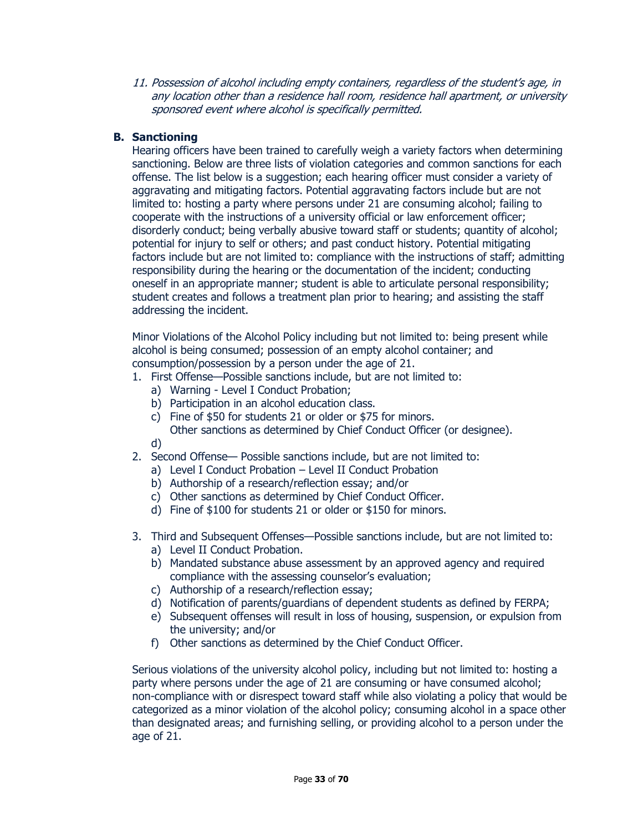11. Possession of alcohol including empty containers, regardless of the student's age, in any location other than a residence hall room, residence hall apartment, or university sponsored event where alcohol is specifically permitted.

### **B. Sanctioning**

Hearing officers have been trained to carefully weigh a variety factors when determining sanctioning. Below are three lists of violation categories and common sanctions for each offense. The list below is a suggestion; each hearing officer must consider a variety of aggravating and mitigating factors. Potential aggravating factors include but are not limited to: hosting a party where persons under 21 are consuming alcohol; failing to cooperate with the instructions of a university official or law enforcement officer; disorderly conduct; being verbally abusive toward staff or students; quantity of alcohol; potential for injury to self or others; and past conduct history. Potential mitigating factors include but are not limited to: compliance with the instructions of staff; admitting responsibility during the hearing or the documentation of the incident; conducting oneself in an appropriate manner; student is able to articulate personal responsibility; student creates and follows a treatment plan prior to hearing; and assisting the staff addressing the incident.

Minor Violations of the Alcohol Policy including but not limited to: being present while alcohol is being consumed; possession of an empty alcohol container; and consumption/possession by a person under the age of 21.

- 1. First Offense—Possible sanctions include, but are not limited to:
	- a) Warning Level I Conduct Probation;
	- b) Participation in an alcohol education class.
	- c) Fine of \$50 for students 21 or older or \$75 for minors.
		- Other sanctions as determined by Chief Conduct Officer (or designee).
	- d)
- 2. Second Offense— Possible sanctions include, but are not limited to:
	- a) Level I Conduct Probation Level II Conduct Probation
	- b) Authorship of a research/reflection essay; and/or
	- c) Other sanctions as determined by Chief Conduct Officer.
	- d) Fine of \$100 for students 21 or older or \$150 for minors.
- 3. Third and Subsequent Offenses—Possible sanctions include, but are not limited to: a) Level II Conduct Probation.
	- b) Mandated substance abuse assessment by an approved agency and required compliance with the assessing counselor's evaluation;
	- c) Authorship of a research/reflection essay;
	- d) Notification of parents/guardians of dependent students as defined by FERPA;
	- e) Subsequent offenses will result in loss of housing, suspension, or expulsion from the university; and/or
	- f) Other sanctions as determined by the Chief Conduct Officer.

Serious violations of the university alcohol policy, including but not limited to: hosting a party where persons under the age of 21 are consuming or have consumed alcohol; non-compliance with or disrespect toward staff while also violating a policy that would be categorized as a minor violation of the alcohol policy; consuming alcohol in a space other than designated areas; and furnishing selling, or providing alcohol to a person under the age of 21.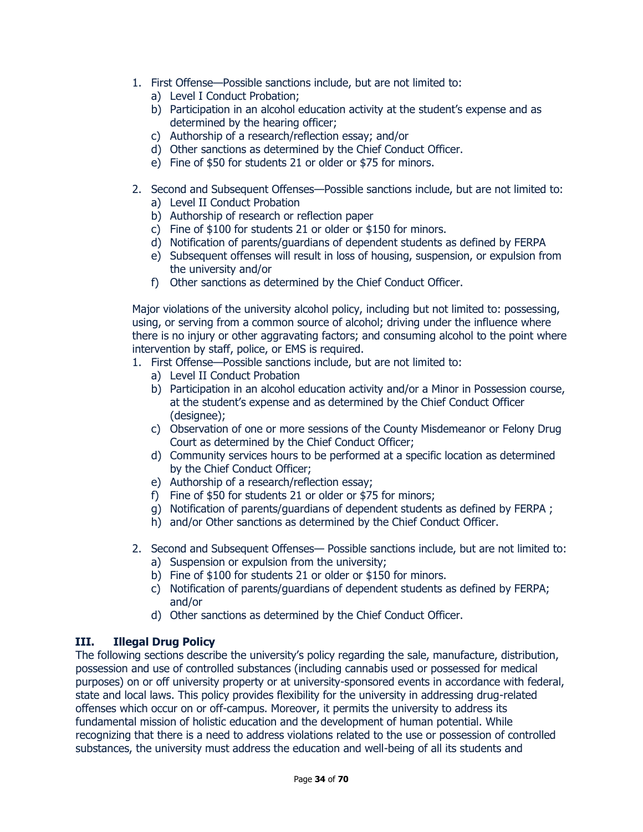- 1. First Offense—Possible sanctions include, but are not limited to:
	- a) Level I Conduct Probation;
	- b) Participation in an alcohol education activity at the student's expense and as determined by the hearing officer;
	- c) Authorship of a research/reflection essay; and/or
	- d) Other sanctions as determined by the Chief Conduct Officer.
	- e) Fine of \$50 for students 21 or older or \$75 for minors.
- 2. Second and Subsequent Offenses—Possible sanctions include, but are not limited to: a) Level II Conduct Probation
	- b) Authorship of research or reflection paper
	- c) Fine of \$100 for students 21 or older or \$150 for minors.
	- d) Notification of parents/guardians of dependent students as defined by FERPA
	- e) Subsequent offenses will result in loss of housing, suspension, or expulsion from the university and/or
	- f) Other sanctions as determined by the Chief Conduct Officer.

Major violations of the university alcohol policy, including but not limited to: possessing, using, or serving from a common source of alcohol; driving under the influence where there is no injury or other aggravating factors; and consuming alcohol to the point where intervention by staff, police, or EMS is required.

- 1. First Offense—Possible sanctions include, but are not limited to:
	- a) Level II Conduct Probation
	- b) Participation in an alcohol education activity and/or a Minor in Possession course, at the student's expense and as determined by the Chief Conduct Officer (designee);
	- c) Observation of one or more sessions of the County Misdemeanor or Felony Drug Court as determined by the Chief Conduct Officer;
	- d) Community services hours to be performed at a specific location as determined by the Chief Conduct Officer;
	- e) Authorship of a research/reflection essay;
	- f) Fine of \$50 for students 21 or older or \$75 for minors;
	- g) Notification of parents/guardians of dependent students as defined by FERPA ;
	- h) and/or Other sanctions as determined by the Chief Conduct Officer.
- 2. Second and Subsequent Offenses— Possible sanctions include, but are not limited to: a) Suspension or expulsion from the university;
	-
	- b) Fine of \$100 for students 21 or older or \$150 for minors.
	- c) Notification of parents/guardians of dependent students as defined by FERPA; and/or
	- d) Other sanctions as determined by the Chief Conduct Officer.

### **III. Illegal Drug Policy**

The following sections describe the university's policy regarding the sale, manufacture, distribution, possession and use of controlled substances (including cannabis used or possessed for medical purposes) on or off university property or at university-sponsored events in accordance with federal, state and local laws. This policy provides flexibility for the university in addressing drug-related offenses which occur on or off-campus. Moreover, it permits the university to address its fundamental mission of holistic education and the development of human potential. While recognizing that there is a need to address violations related to the use or possession of controlled substances, the university must address the education and well-being of all its students and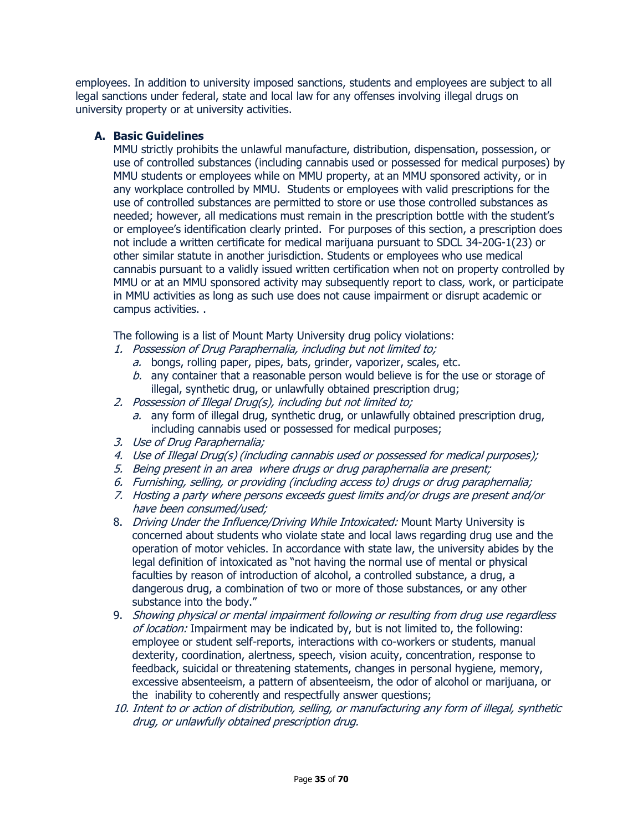employees. In addition to university imposed sanctions, students and employees are subject to all legal sanctions under federal, state and local law for any offenses involving illegal drugs on university property or at university activities.

#### **A. Basic Guidelines**

MMU strictly prohibits the unlawful manufacture, distribution, dispensation, possession, or use of controlled substances (including cannabis used or possessed for medical purposes) by MMU students or employees while on MMU property, at an MMU sponsored activity, or in any workplace controlled by MMU. Students or employees with valid prescriptions for the use of controlled substances are permitted to store or use those controlled substances as needed; however, all medications must remain in the prescription bottle with the student's or employee's identification clearly printed. For purposes of this section, a prescription does not include a written certificate for medical marijuana pursuant to SDCL 34-20G-1(23) or other similar statute in another jurisdiction. Students or employees who use medical cannabis pursuant to a validly issued written certification when not on property controlled by MMU or at an MMU sponsored activity may subsequently report to class, work, or participate in MMU activities as long as such use does not cause impairment or disrupt academic or campus activities. .

The following is a list of Mount Marty University drug policy violations:

- 1. Possession of Drug Paraphernalia, including but not limited to;
	- a. bongs, rolling paper, pipes, bats, grinder, vaporizer, scales, etc.
	- $b.$  any container that a reasonable person would believe is for the use or storage of illegal, synthetic drug, or unlawfully obtained prescription drug;
- 2. Possession of Illegal Drug(s), including but not limited to;
	- a. any form of illegal drug, synthetic drug, or unlawfully obtained prescription drug, including cannabis used or possessed for medical purposes;
- 3. Use of Drug Paraphernalia;
- 4. Use of Illegal Drug(s) (including cannabis used or possessed for medical purposes);
- 5. Being present in an area where drugs or drug paraphernalia are present;
- 6. Furnishing, selling, or providing (including access to) drugs or drug paraphernalia;
- 7. Hosting a party where persons exceeds guest limits and/or drugs are present and/or have been consumed/used;
- 8. Driving Under the Influence/Driving While Intoxicated: Mount Marty University is concerned about students who violate state and local laws regarding drug use and the operation of motor vehicles. In accordance with state law, the university abides by the legal definition of intoxicated as "not having the normal use of mental or physical faculties by reason of introduction of alcohol, a controlled substance, a drug, a dangerous drug, a combination of two or more of those substances, or any other substance into the body."
- 9. Showing physical or mental impairment following or resulting from drug use regardless of location: Impairment may be indicated by, but is not limited to, the following: employee or student self-reports, interactions with co-workers or students, manual dexterity, coordination, alertness, speech, vision acuity, concentration, response to feedback, suicidal or threatening statements, changes in personal hygiene, memory, excessive absenteeism, a pattern of absenteeism, the odor of alcohol or marijuana, or the inability to coherently and respectfully answer questions;
- 10. Intent to or action of distribution, selling, or manufacturing any form of illegal, synthetic drug, or unlawfully obtained prescription drug.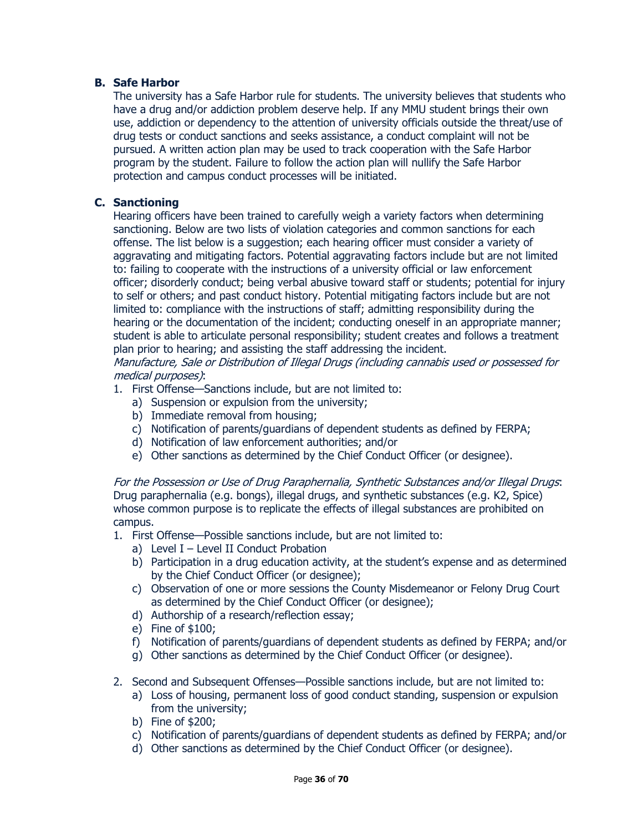#### **B. Safe Harbor**

The university has a Safe Harbor rule for students. The university believes that students who have a drug and/or addiction problem deserve help. If any MMU student brings their own use, addiction or dependency to the attention of university officials outside the threat/use of drug tests or conduct sanctions and seeks assistance, a conduct complaint will not be pursued. A written action plan may be used to track cooperation with the Safe Harbor program by the student. Failure to follow the action plan will nullify the Safe Harbor protection and campus conduct processes will be initiated.

#### **C. Sanctioning**

Hearing officers have been trained to carefully weigh a variety factors when determining sanctioning. Below are two lists of violation categories and common sanctions for each offense. The list below is a suggestion; each hearing officer must consider a variety of aggravating and mitigating factors. Potential aggravating factors include but are not limited to: failing to cooperate with the instructions of a university official or law enforcement officer; disorderly conduct; being verbal abusive toward staff or students; potential for injury to self or others; and past conduct history. Potential mitigating factors include but are not limited to: compliance with the instructions of staff; admitting responsibility during the hearing or the documentation of the incident; conducting oneself in an appropriate manner; student is able to articulate personal responsibility; student creates and follows a treatment plan prior to hearing; and assisting the staff addressing the incident.

Manufacture, Sale or Distribution of Illegal Drugs (including cannabis used or possessed for medical purposes):

- 1. First Offense—Sanctions include, but are not limited to:
	- a) Suspension or expulsion from the university;
	- b) Immediate removal from housing;
	- c) Notification of parents/guardians of dependent students as defined by FERPA;
	- d) Notification of law enforcement authorities; and/or
	- e) Other sanctions as determined by the Chief Conduct Officer (or designee).

For the Possession or Use of Drug Paraphernalia, Synthetic Substances and/or Illegal Drugs: Drug paraphernalia (e.g. bongs), illegal drugs, and synthetic substances (e.g. K2, Spice) whose common purpose is to replicate the effects of illegal substances are prohibited on campus.

- 1. First Offense—Possible sanctions include, but are not limited to:
	- a) Level  $I$  Level II Conduct Probation
	- b) Participation in a drug education activity, at the student's expense and as determined by the Chief Conduct Officer (or designee);
	- c) Observation of one or more sessions the County Misdemeanor or Felony Drug Court as determined by the Chief Conduct Officer (or designee);
	- d) Authorship of a research/reflection essay;
	- e) Fine of \$100;
	- f) Notification of parents/guardians of dependent students as defined by FERPA; and/or
	- g) Other sanctions as determined by the Chief Conduct Officer (or designee).
- 2. Second and Subsequent Offenses—Possible sanctions include, but are not limited to:
	- a) Loss of housing, permanent loss of good conduct standing, suspension or expulsion from the university;
	- b) Fine of \$200;
	- c) Notification of parents/guardians of dependent students as defined by FERPA; and/or
	- d) Other sanctions as determined by the Chief Conduct Officer (or designee).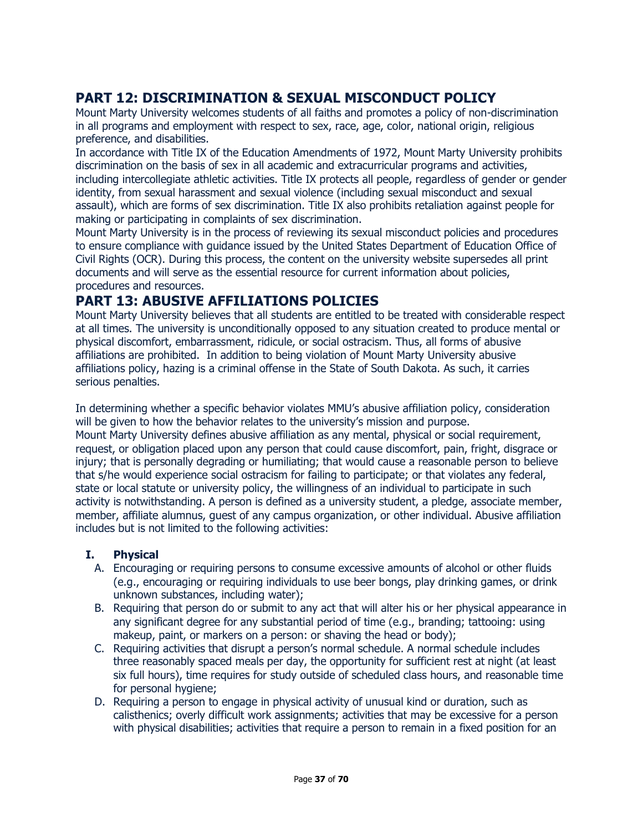# **PART 12: DISCRIMINATION & SEXUAL MISCONDUCT POLICY**

Mount Marty University welcomes students of all faiths and promotes a policy of non-discrimination in all programs and employment with respect to sex, race, age, color, national origin, religious preference, and disabilities.

In accordance with Title IX of the Education Amendments of 1972, Mount Marty University prohibits discrimination on the basis of sex in all academic and extracurricular programs and activities, including intercollegiate athletic activities. Title IX protects all people, regardless of gender or gender identity, from sexual harassment and sexual violence (including sexual misconduct and sexual assault), which are forms of sex discrimination. Title IX also prohibits retaliation against people for making or participating in complaints of sex discrimination.

Mount Marty University is in the process of reviewing its sexual misconduct policies and procedures to ensure compliance with guidance issued by the United States Department of Education Office of Civil Rights (OCR). During this process, the content on the university website supersedes all print documents and will serve as the essential resource for current information about policies, procedures and resources.

# **PART 13: ABUSIVE AFFILIATIONS POLICIES**

Mount Marty University believes that all students are entitled to be treated with considerable respect at all times. The university is unconditionally opposed to any situation created to produce mental or physical discomfort, embarrassment, ridicule, or social ostracism. Thus, all forms of abusive affiliations are prohibited. In addition to being violation of Mount Marty University abusive affiliations policy, hazing is a criminal offense in the State of South Dakota. As such, it carries serious penalties.

In determining whether a specific behavior violates MMU's abusive affiliation policy, consideration will be given to how the behavior relates to the university's mission and purpose. Mount Marty University defines abusive affiliation as any mental, physical or social requirement, request, or obligation placed upon any person that could cause discomfort, pain, fright, disgrace or injury; that is personally degrading or humiliating; that would cause a reasonable person to believe that s/he would experience social ostracism for failing to participate; or that violates any federal, state or local statute or university policy, the willingness of an individual to participate in such activity is notwithstanding. A person is defined as a university student, a pledge, associate member, member, affiliate alumnus, guest of any campus organization, or other individual. Abusive affiliation includes but is not limited to the following activities:

### **I. Physical**

- A. Encouraging or requiring persons to consume excessive amounts of alcohol or other fluids (e.g., encouraging or requiring individuals to use beer bongs, play drinking games, or drink unknown substances, including water);
- B. Requiring that person do or submit to any act that will alter his or her physical appearance in any significant degree for any substantial period of time (e.g., branding; tattooing: using makeup, paint, or markers on a person: or shaving the head or body);
- C. Requiring activities that disrupt a person's normal schedule. A normal schedule includes three reasonably spaced meals per day, the opportunity for sufficient rest at night (at least six full hours), time requires for study outside of scheduled class hours, and reasonable time for personal hygiene;
- D. Requiring a person to engage in physical activity of unusual kind or duration, such as calisthenics; overly difficult work assignments; activities that may be excessive for a person with physical disabilities; activities that require a person to remain in a fixed position for an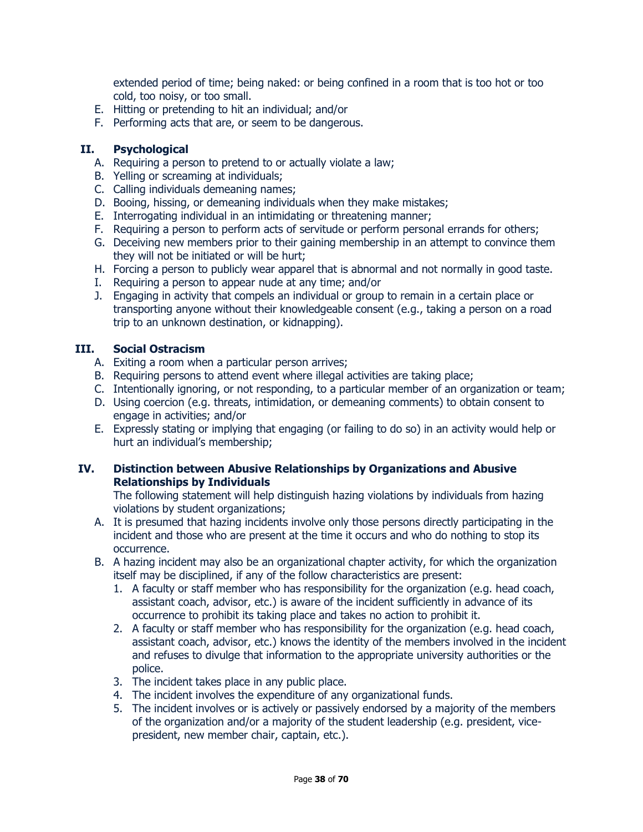extended period of time; being naked: or being confined in a room that is too hot or too cold, too noisy, or too small.

- E. Hitting or pretending to hit an individual; and/or
- F. Performing acts that are, or seem to be dangerous.

#### **II. Psychological**

- A. Requiring a person to pretend to or actually violate a law;
- B. Yelling or screaming at individuals;
- C. Calling individuals demeaning names;
- D. Booing, hissing, or demeaning individuals when they make mistakes;
- E. Interrogating individual in an intimidating or threatening manner;
- F. Requiring a person to perform acts of servitude or perform personal errands for others;
- G. Deceiving new members prior to their gaining membership in an attempt to convince them they will not be initiated or will be hurt;
- H. Forcing a person to publicly wear apparel that is abnormal and not normally in good taste.
- I. Requiring a person to appear nude at any time; and/or
- J. Engaging in activity that compels an individual or group to remain in a certain place or transporting anyone without their knowledgeable consent (e.g., taking a person on a road trip to an unknown destination, or kidnapping).

#### **III. Social Ostracism**

- A. Exiting a room when a particular person arrives;
- B. Requiring persons to attend event where illegal activities are taking place;
- C. Intentionally ignoring, or not responding, to a particular member of an organization or team;
- D. Using coercion (e.g. threats, intimidation, or demeaning comments) to obtain consent to engage in activities; and/or
- E. Expressly stating or implying that engaging (or failing to do so) in an activity would help or hurt an individual's membership;

#### **IV. Distinction between Abusive Relationships by Organizations and Abusive Relationships by Individuals**

The following statement will help distinguish hazing violations by individuals from hazing violations by student organizations;

- A. It is presumed that hazing incidents involve only those persons directly participating in the incident and those who are present at the time it occurs and who do nothing to stop its occurrence.
- B. A hazing incident may also be an organizational chapter activity, for which the organization itself may be disciplined, if any of the follow characteristics are present:
	- 1. A faculty or staff member who has responsibility for the organization (e.g. head coach, assistant coach, advisor, etc.) is aware of the incident sufficiently in advance of its occurrence to prohibit its taking place and takes no action to prohibit it.
	- 2. A faculty or staff member who has responsibility for the organization (e.g. head coach, assistant coach, advisor, etc.) knows the identity of the members involved in the incident and refuses to divulge that information to the appropriate university authorities or the police.
	- 3. The incident takes place in any public place.
	- 4. The incident involves the expenditure of any organizational funds.
	- 5. The incident involves or is actively or passively endorsed by a majority of the members of the organization and/or a majority of the student leadership (e.g. president, vicepresident, new member chair, captain, etc.).